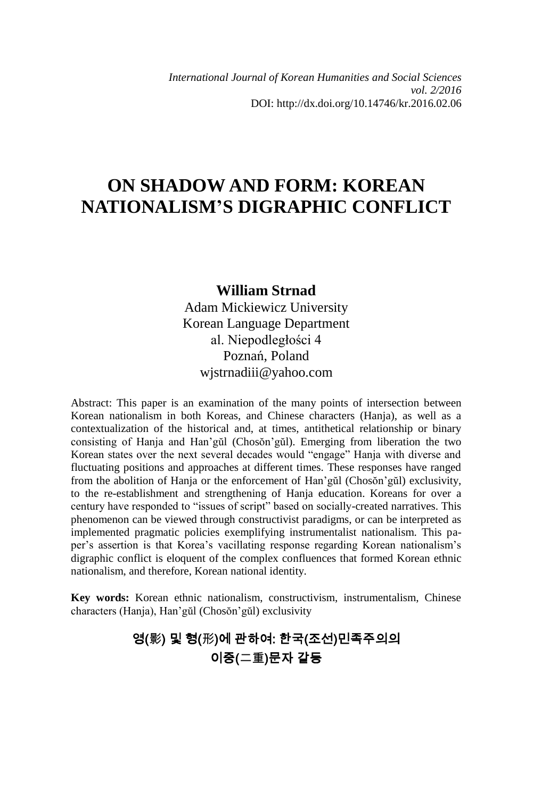# **ON SHADOW AND FORM: KOREAN NATIONALISM'S DIGRAPHIC CONFLICT**

### **William Strnad**

Adam Mickiewicz University Korean Language Department al. Niepodległości 4 Poznań, Poland wjstrnadiii@yahoo.com

Abstract: This paper is an examination of the many points of intersection between Korean nationalism in both Koreas, and Chinese characters (Hanja), as well as a contextualization of the historical and, at times, antithetical relationship or binary consisting of Hanja and Han'gŭl (Chosŏn'gŭl). Emerging from liberation the two Korean states over the next several decades would "engage" Hanja with diverse and fluctuating positions and approaches at different times. These responses have ranged from the abolition of Hanja or the enforcement of Han'gŭl (Chosŏn'gŭl) exclusivity, to the re-establishment and strengthening of Hanja education. Koreans for over a century have responded to "issues of script" based on socially-created narratives. This phenomenon can be viewed through constructivist paradigms, or can be interpreted as implemented pragmatic policies exemplifying instrumentalist nationalism. This paper's assertion is that Korea's vacillating response regarding Korean nationalism's digraphic conflict is eloquent of the complex confluences that formed Korean ethnic nationalism, and therefore, Korean national identity.

**Key words:** Korean ethnic nationalism, constructivism, instrumentalism, Chinese characters (Hanja), Han'gŭl (Chosŏn'gŭl) exclusivity

# 영(影) 및 형(形)에 관하여: 한국(조선)민족주의의 이중(二重)문자 갈등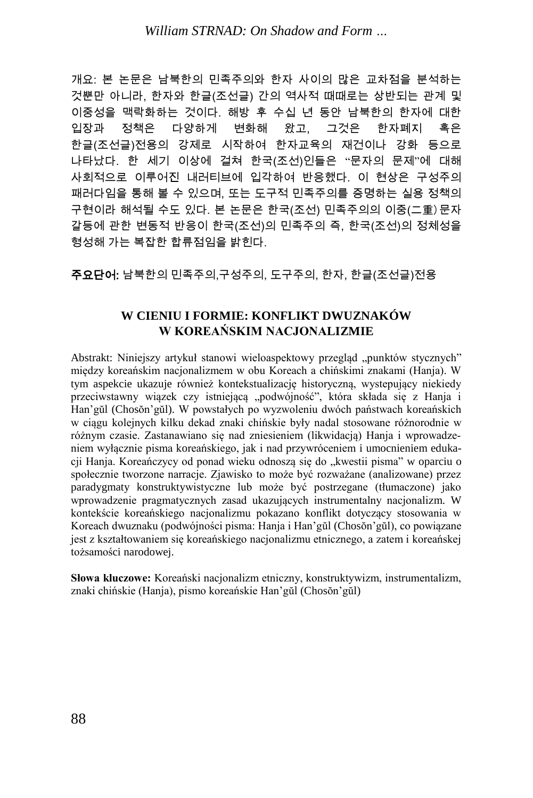개요: 본 논문은 남북한의 민족주의와 한자 사이의 많은 교차점을 분석하는 것뿐만 아니라, 한자와 한글(조선글) 간의 역사적 때때로는 상반되는 관계 및 이중성을 맥락화하는 것이다. 해방 후 수십 년 동안 남북한의 한자에 대한 입장과 정책은 다양하게 변화해 왔고, 그것은 한자폐지 혹은 한글(조선글)전용의 강제로 시작하여 한자교육의 재건이나 강화 등으로 나타났다. 한 세기 이상에 걸쳐 한국(조선)인들은 "문자의 문제"에 대해 사회적으로 이루어진 내러티브에 입각하여 반응했다. 이 현상은 구성주의 패러다임을 통해 볼 수 있으며, 또는 도구적 민족주의를 증명하는 실용 정책의 구현이라 해석될 수도 있다. 본 논문은 한국(조선) 민족주의의 이중(二重)문자 갈등에 관한 변동적 반응이 한국(조선)의 민족주의 즉, 한국(조선)의 정체성을 형성해 가는 복잡한 합류점임을 밝힌다.

주요단어: 남북한의 민족주의,구성주의, 도구주의, 한자, 한글(조선글)전용

#### **W CIENIU I FORMIE: KONFLIKT DWUZNAKÓW W KOREAŃSKIM NACJONALIZMIE**

Abstrakt: Niniejszy artykuł stanowi wieloaspektowy przegląd "punktów stycznych" między koreańskim nacjonalizmem w obu Koreach a chińskimi znakami (Hanja). W tym aspekcie ukazuje również kontekstualizację historyczną, wystepujący niekiedy przeciwstawny wiązek czy istniejącą "podwójność", która składa się z Hanja i Han'gŭl (Chosŏn'gŭl). W powstałych po wyzwoleniu dwóch państwach koreańskich w ciągu kolejnych kilku dekad znaki chińskie były nadal stosowane różnorodnie w różnym czasie. Zastanawiano się nad zniesieniem (likwidacją) Hanja i wprowadzeniem wyłącznie pisma koreańskiego, jak i nad przywróceniem i umocnieniem edukacji Hanja. Koreańczycy od ponad wieku odnoszą się do "kwestii pisma" w oparciu o społecznie tworzone narracje. Zjawisko to może być rozważane (analizowane) przez paradygmaty konstruktywistyczne lub może być postrzegane (tłumaczone) jako wprowadzenie pragmatycznych zasad ukazujących instrumentalny nacjonalizm. W kontekście koreańskiego nacjonalizmu pokazano konflikt dotyczący stosowania w Koreach dwuznaku (podwójności pisma: Hanja i Han'gŭl (Chosŏn'gŭl), co powiązane jest z kształtowaniem się koreańskiego nacjonalizmu etnicznego, a zatem i koreańskej tożsamości narodowej.

**Słowa kluczowe:** Koreański nacjonalizm etniczny, konstruktywizm, instrumentalizm, znaki chińskie (Hanja), pismo koreańskie Han'gŭl (Chosŏn'gŭl)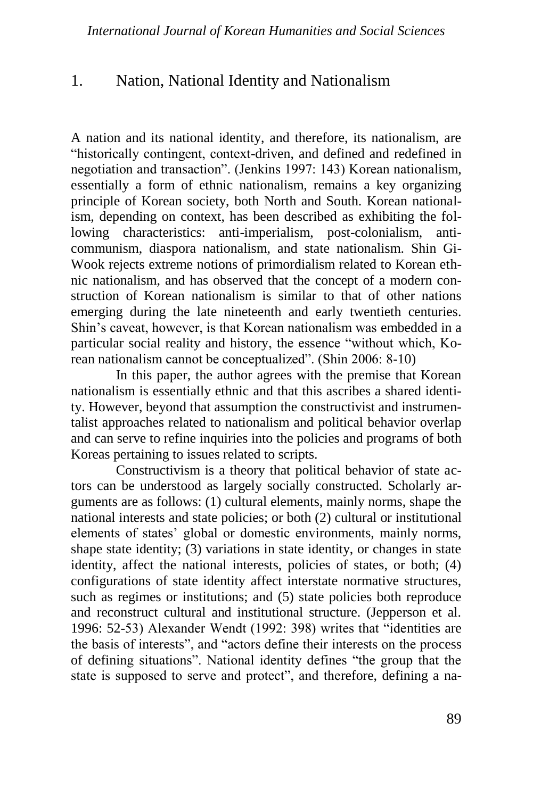### 1. Nation, National Identity and Nationalism

A nation and its national identity, and therefore, its nationalism, are "historically contingent, context-driven, and defined and redefined in negotiation and transaction". (Jenkins 1997: 143) Korean nationalism, essentially a form of ethnic nationalism, remains a key organizing principle of Korean society, both North and South. Korean nationalism, depending on context, has been described as exhibiting the following characteristics: anti-imperialism, post-colonialism, anticommunism, diaspora nationalism, and state nationalism. Shin Gi-Wook rejects extreme notions of primordialism related to Korean ethnic nationalism, and has observed that the concept of a modern construction of Korean nationalism is similar to that of other nations emerging during the late nineteenth and early twentieth centuries. Shin's caveat, however, is that Korean nationalism was embedded in a particular social reality and history, the essence "without which, Korean nationalism cannot be conceptualized". (Shin 2006: 8-10)

In this paper, the author agrees with the premise that Korean nationalism is essentially ethnic and that this ascribes a shared identity. However, beyond that assumption the constructivist and instrumentalist approaches related to nationalism and political behavior overlap and can serve to refine inquiries into the policies and programs of both Koreas pertaining to issues related to scripts.

Constructivism is a theory that political behavior of state actors can be understood as largely socially constructed. Scholarly arguments are as follows: (1) cultural elements, mainly norms, shape the national interests and state policies; or both (2) cultural or institutional elements of states' global or domestic environments, mainly norms, shape state identity; (3) variations in state identity, or changes in state identity, affect the national interests, policies of states, or both; (4) configurations of state identity affect interstate normative structures, such as regimes or institutions; and  $(5)$  state policies both reproduce and reconstruct cultural and institutional structure. (Jepperson et al. 1996: 52-53) Alexander Wendt (1992: 398) writes that "identities are the basis of interests", and "actors define their interests on the process of defining situations". National identity defines "the group that the state is supposed to serve and protect", and therefore, defining a na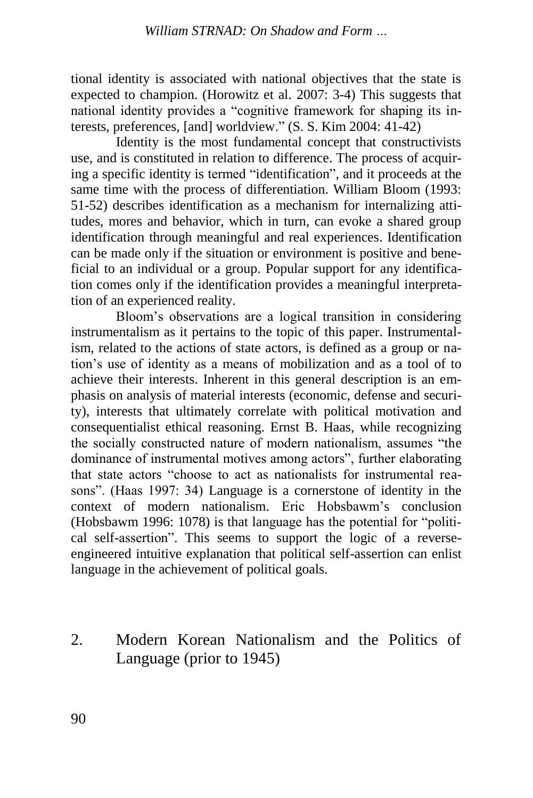tional identity is associated with national objectives that the state is expected to champion. (Horowitz et al. 2007: 3-4) This suggests that national identity provides a "cognitive framework for shaping its interests, preferences, [and] worldview." (S. S. Kim 2004: 41-42)

Identity is the most fundamental concept that constructivists use, and is constituted in relation to difference. The process of acquiring a specific identity is termed "identification", and it proceeds at the same time with the process of differentiation. William Bloom (1993: 51-52) describes identification as a mechanism for internalizing attitudes, mores and behavior, which in turn, can evoke a shared group identification through meaningful and real experiences. Identification can be made only if the situation or environment is positive and beneficial to an individual or a group. Popular support for any identification comes only if the identification provides a meaningful interpretation of an experienced reality.

Bloom's observations are a logical transition in considering instrumentalism as it pertains to the topic of this paper. Instrumentalism, related to the actions of state actors, is defined as a group or nation's use of identity as a means of mobilization and as a tool of to achieve their interests. Inherent in this general description is an emphasis on analysis of material interests (economic, defense and security), interests that ultimately correlate with political motivation and consequentialist ethical reasoning. Ernst B. Haas, while recognizing the socially constructed nature of modern nationalism, assumes "the dominance of instrumental motives among actors", further elaborating that state actors "choose to act as nationalists for instrumental reasons". (Haas 1997: 34) Language is a cornerstone of identity in the context of modern nationalism. Eric Hobsbawm's conclusion (Hobsbawm 1996: 1078) is that language has the potential for "political self-assertion". This seems to support the logic of a reverseengineered intuitive explanation that political self-assertion can enlist language in the achievement of political goals.

2. Modern Korean Nationalism and the Politics of Language (prior to 1945)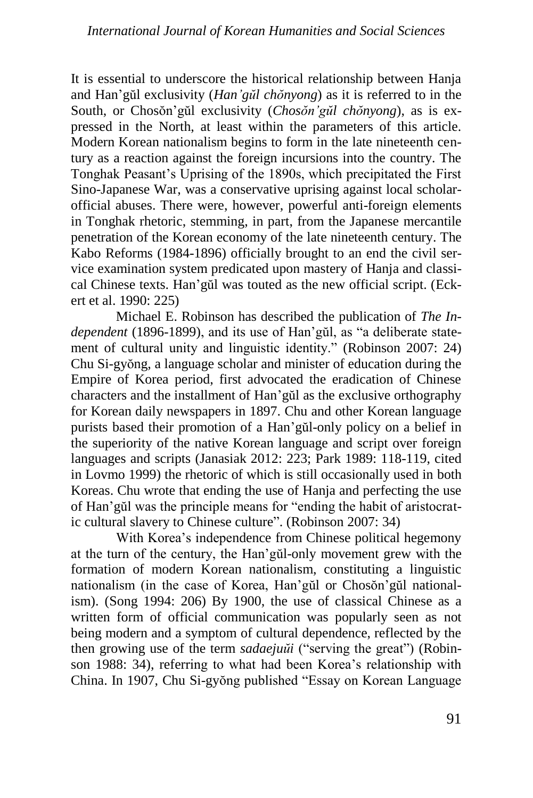It is essential to underscore the historical relationship between Hanja and Han'gŭl exclusivity (*Han'gŭl chŏnyong*) as it is referred to in the South, or Chosŏn'gŭl exclusivity (*Chosŏn'gŭl chŏnyong*), as is expressed in the North, at least within the parameters of this article. Modern Korean nationalism begins to form in the late nineteenth century as a reaction against the foreign incursions into the country. The Tonghak Peasant's Uprising of the 1890s, which precipitated the First Sino-Japanese War, was a conservative uprising against local scholarofficial abuses. There were, however, powerful anti-foreign elements in Tonghak rhetoric, stemming, in part, from the Japanese mercantile penetration of the Korean economy of the late nineteenth century. The Kabo Reforms (1984-1896) officially brought to an end the civil service examination system predicated upon mastery of Hanja and classical Chinese texts. Han'gŭl was touted as the new official script. (Eckert et al. 1990: 225)

Michael E. Robinson has described the publication of *The Independent* (1896-1899), and its use of Han'gŭl, as "a deliberate statement of cultural unity and linguistic identity." (Robinson 2007: 24) Chu Si-gyŏng, a language scholar and minister of education during the Empire of Korea period, first advocated the eradication of Chinese characters and the installment of Han'gŭl as the exclusive orthography for Korean daily newspapers in 1897. Chu and other Korean language purists based their promotion of a Han'gŭl-only policy on a belief in the superiority of the native Korean language and script over foreign languages and scripts (Janasiak 2012: 223; Park 1989: 118-119, cited in Lovmo 1999) the rhetoric of which is still occasionally used in both Koreas. Chu wrote that ending the use of Hanja and perfecting the use of Han'gŭl was the principle means for "ending the habit of aristocratic cultural slavery to Chinese culture". (Robinson 2007: 34)

With Korea's independence from Chinese political hegemony at the turn of the century, the Han'gŭl-only movement grew with the formation of modern Korean nationalism, constituting a linguistic nationalism (in the case of Korea, Han'gŭl or Chosŏn'gŭl nationalism). (Song 1994: 206) By 1900, the use of classical Chinese as a written form of official communication was popularly seen as not being modern and a symptom of cultural dependence, reflected by the then growing use of the term *sadaejuŭi* ("serving the great") (Robinson 1988: 34), referring to what had been Korea's relationship with China. In 1907, Chu Si-gyŏng published "Essay on Korean Language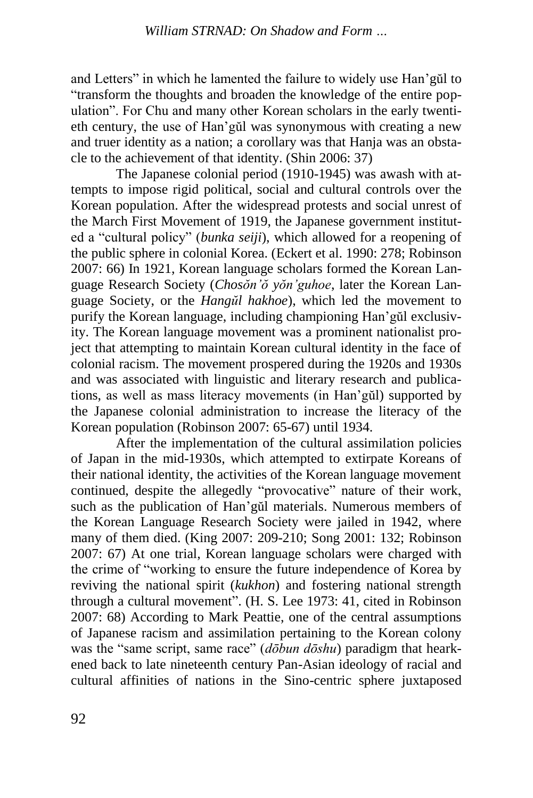and Letters" in which he lamented the failure to widely use Han'gŭl to "transform the thoughts and broaden the knowledge of the entire population". For Chu and many other Korean scholars in the early twentieth century, the use of Han'gŭl was synonymous with creating a new and truer identity as a nation; a corollary was that Hanja was an obstacle to the achievement of that identity. (Shin 2006: 37)

The Japanese colonial period (1910-1945) was awash with attempts to impose rigid political, social and cultural controls over the Korean population. After the widespread protests and social unrest of the March First Movement of 1919, the Japanese government instituted a "cultural policy" (*bunka seiji*), which allowed for a reopening of the public sphere in colonial Korea. (Eckert et al. 1990: 278; Robinson 2007: 66) In 1921, Korean language scholars formed the Korean Language Research Society (*Chosŏn'ŏ yŏn'guhoe*, later the Korean Language Society, or the *Hangŭl hakhoe*), which led the movement to purify the Korean language, including championing Han'gŭl exclusivity. The Korean language movement was a prominent nationalist project that attempting to maintain Korean cultural identity in the face of colonial racism. The movement prospered during the 1920s and 1930s and was associated with linguistic and literary research and publications, as well as mass literacy movements (in Han'gŭl) supported by the Japanese colonial administration to increase the literacy of the Korean population (Robinson 2007: 65-67) until 1934.

After the implementation of the cultural assimilation policies of Japan in the mid-1930s, which attempted to extirpate Koreans of their national identity, the activities of the Korean language movement continued, despite the allegedly "provocative" nature of their work, such as the publication of Han'gŭl materials. Numerous members of the Korean Language Research Society were jailed in 1942, where many of them died. (King 2007: 209-210; Song 2001: 132; Robinson 2007: 67) At one trial, Korean language scholars were charged with the crime of "working to ensure the future independence of Korea by reviving the national spirit (*kukhon*) and fostering national strength through a cultural movement". (H. S. Lee 1973: 41, cited in Robinson 2007: 68) According to Mark Peattie, one of the central assumptions of Japanese racism and assimilation pertaining to the Korean colony was the "same script, same race" (*dōbun dōshu*) paradigm that hearkened back to late nineteenth century Pan-Asian ideology of racial and cultural affinities of nations in the Sino-centric sphere juxtaposed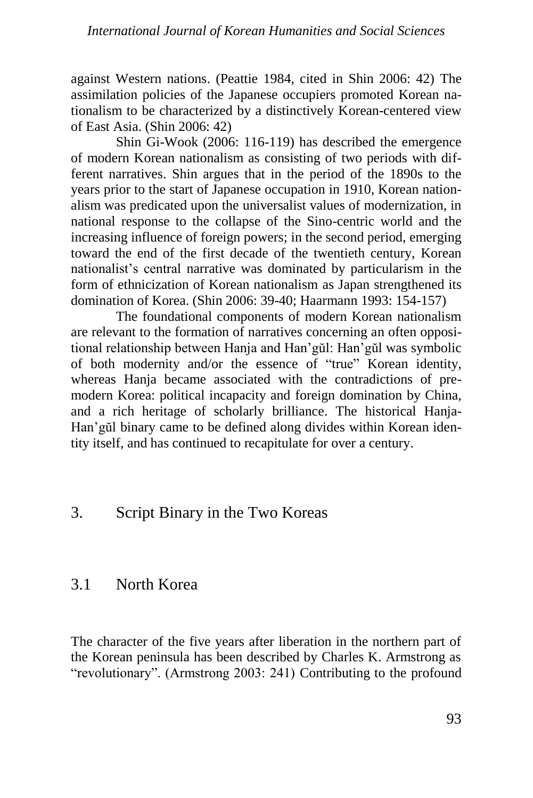against Western nations. (Peattie 1984, cited in Shin 2006: 42) The assimilation policies of the Japanese occupiers promoted Korean nationalism to be characterized by a distinctively Korean-centered view of East Asia. (Shin 2006: 42)

Shin Gi-Wook (2006: 116-119) has described the emergence of modern Korean nationalism as consisting of two periods with different narratives. Shin argues that in the period of the 1890s to the years prior to the start of Japanese occupation in 1910, Korean nationalism was predicated upon the universalist values of modernization, in national response to the collapse of the Sino-centric world and the increasing influence of foreign powers; in the second period, emerging toward the end of the first decade of the twentieth century, Korean nationalist's central narrative was dominated by particularism in the form of ethnicization of Korean nationalism as Japan strengthened its domination of Korea. (Shin 2006: 39-40; Haarmann 1993: 154-157)

The foundational components of modern Korean nationalism are relevant to the formation of narratives concerning an often oppositional relationship between Hanja and Han'gŭl: Han'gŭl was symbolic of both modernity and/or the essence of "true" Korean identity, whereas Hanja became associated with the contradictions of premodern Korea: political incapacity and foreign domination by China, and a rich heritage of scholarly brilliance. The historical Hanja-Han'gŭl binary came to be defined along divides within Korean identity itself, and has continued to recapitulate for over a century.

# 3. Script Binary in the Two Koreas

# 3.1 North Korea

The character of the five years after liberation in the northern part of the Korean peninsula has been described by Charles K. Armstrong as "revolutionary". (Armstrong 2003: 241) Contributing to the profound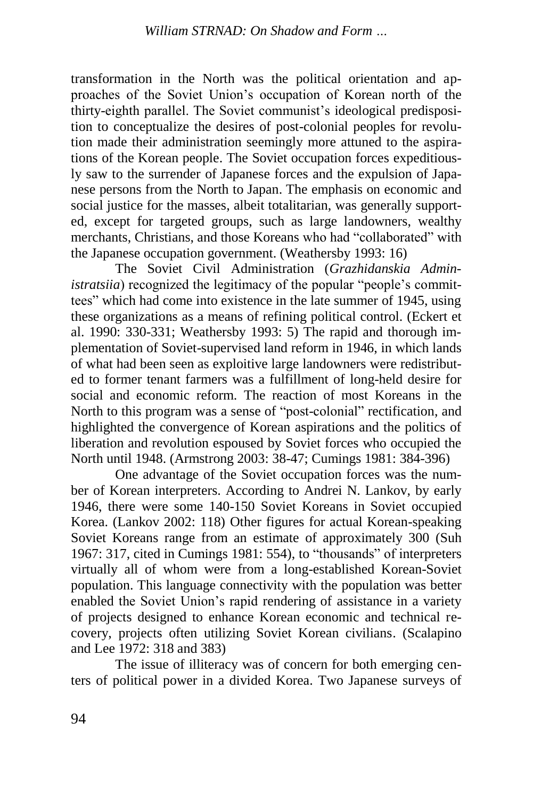transformation in the North was the political orientation and approaches of the Soviet Union's occupation of Korean north of the thirty-eighth parallel. The Soviet communist's ideological predisposition to conceptualize the desires of post-colonial peoples for revolution made their administration seemingly more attuned to the aspirations of the Korean people. The Soviet occupation forces expeditiously saw to the surrender of Japanese forces and the expulsion of Japanese persons from the North to Japan. The emphasis on economic and social justice for the masses, albeit totalitarian, was generally supported, except for targeted groups, such as large landowners, wealthy merchants, Christians, and those Koreans who had "collaborated" with the Japanese occupation government. (Weathersby 1993: 16)

The Soviet Civil Administration (*Grazhidanskia Administratsiia*) recognized the legitimacy of the popular "people's committees" which had come into existence in the late summer of 1945, using these organizations as a means of refining political control. (Eckert et al. 1990: 330-331; Weathersby 1993: 5) The rapid and thorough implementation of Soviet-supervised land reform in 1946, in which lands of what had been seen as exploitive large landowners were redistributed to former tenant farmers was a fulfillment of long-held desire for social and economic reform. The reaction of most Koreans in the North to this program was a sense of "post-colonial" rectification, and highlighted the convergence of Korean aspirations and the politics of liberation and revolution espoused by Soviet forces who occupied the North until 1948. (Armstrong 2003: 38-47; Cumings 1981: 384-396)

One advantage of the Soviet occupation forces was the number of Korean interpreters. According to Andrei N. Lankov, by early 1946, there were some 140-150 Soviet Koreans in Soviet occupied Korea. (Lankov 2002: 118) Other figures for actual Korean-speaking Soviet Koreans range from an estimate of approximately 300 (Suh 1967: 317, cited in Cumings 1981: 554), to "thousands" of interpreters virtually all of whom were from a long-established Korean-Soviet population. This language connectivity with the population was better enabled the Soviet Union's rapid rendering of assistance in a variety of projects designed to enhance Korean economic and technical recovery, projects often utilizing Soviet Korean civilians. (Scalapino and Lee 1972: 318 and 383)

The issue of illiteracy was of concern for both emerging centers of political power in a divided Korea. Two Japanese surveys of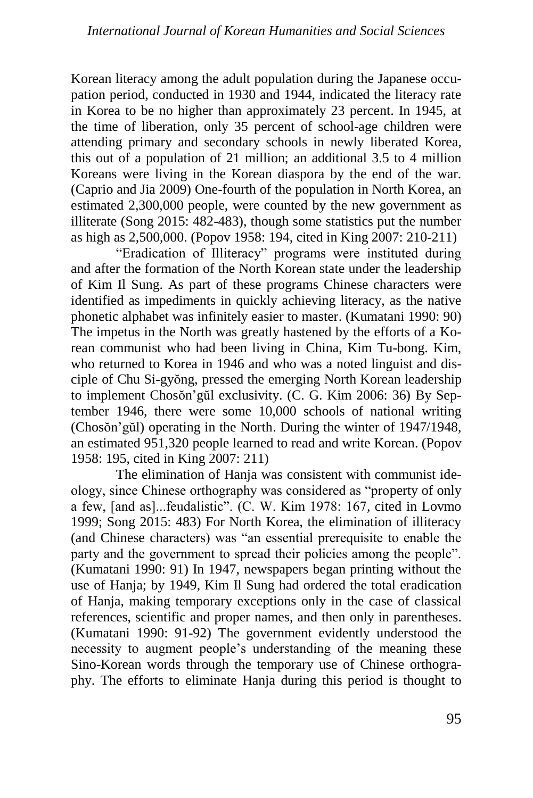Korean literacy among the adult population during the Japanese occupation period, conducted in 1930 and 1944, indicated the literacy rate in Korea to be no higher than approximately 23 percent. In 1945, at the time of liberation, only 35 percent of school-age children were attending primary and secondary schools in newly liberated Korea, this out of a population of 21 million; an additional 3.5 to 4 million Koreans were living in the Korean diaspora by the end of the war. (Caprio and Jia 2009) One-fourth of the population in North Korea, an estimated 2,300,000 people, were counted by the new government as illiterate (Song 2015: 482-483), though some statistics put the number as high as 2,500,000. (Popov 1958: 194, cited in King 2007: 210-211)

"Eradication of Illiteracy" programs were instituted during and after the formation of the North Korean state under the leadership of Kim Il Sung. As part of these programs Chinese characters were identified as impediments in quickly achieving literacy, as the native phonetic alphabet was infinitely easier to master. (Kumatani 1990: 90) The impetus in the North was greatly hastened by the efforts of a Korean communist who had been living in China, Kim Tu-bong. Kim, who returned to Korea in 1946 and who was a noted linguist and disciple of Chu Si-gyŏng, pressed the emerging North Korean leadership to implement Chosŏn'gŭl exclusivity. (C. G. Kim 2006: 36) By September 1946, there were some 10,000 schools of national writing (Chosŏn'gŭl) operating in the North. During the winter of 1947/1948, an estimated 951,320 people learned to read and write Korean. (Popov 1958: 195, cited in King 2007: 211)

The elimination of Hanja was consistent with communist ideology, since Chinese orthography was considered as "property of only a few, [and as]...feudalistic". (C. W. Kim 1978: 167, cited in Lovmo 1999; Song 2015: 483) For North Korea, the elimination of illiteracy (and Chinese characters) was "an essential prerequisite to enable the party and the government to spread their policies among the people". (Kumatani 1990: 91) In 1947, newspapers began printing without the use of Hanja; by 1949, Kim Il Sung had ordered the total eradication of Hanja, making temporary exceptions only in the case of classical references, scientific and proper names, and then only in parentheses. (Kumatani 1990: 91-92) The government evidently understood the necessity to augment people's understanding of the meaning these Sino-Korean words through the temporary use of Chinese orthography. The efforts to eliminate Hanja during this period is thought to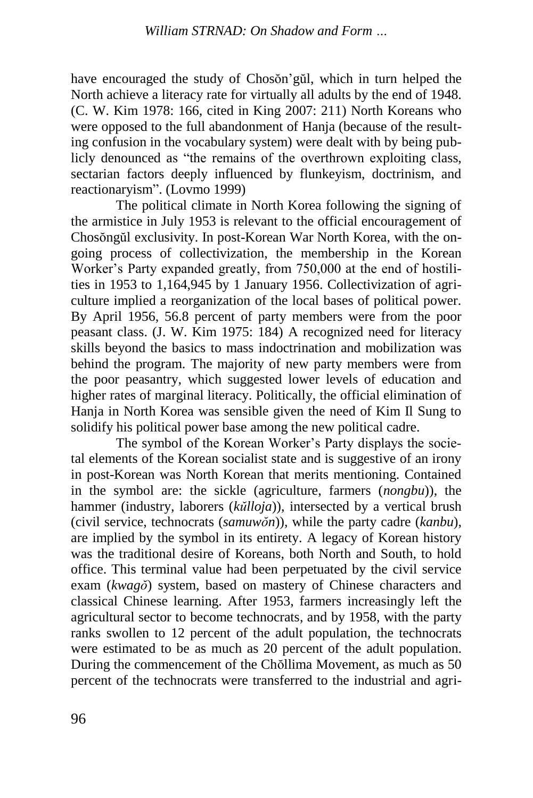have encouraged the study of Chosŏn'gŭl, which in turn helped the North achieve a literacy rate for virtually all adults by the end of 1948. (C. W. Kim 1978: 166, cited in King 2007: 211) North Koreans who were opposed to the full abandonment of Hanja (because of the resulting confusion in the vocabulary system) were dealt with by being publicly denounced as "the remains of the overthrown exploiting class, sectarian factors deeply influenced by flunkeyism, doctrinism, and reactionaryism". (Lovmo 1999)

The political climate in North Korea following the signing of the armistice in July 1953 is relevant to the official encouragement of Chosŏngŭl exclusivity. In post-Korean War North Korea, with the ongoing process of collectivization, the membership in the Korean Worker's Party expanded greatly, from 750,000 at the end of hostilities in 1953 to 1,164,945 by 1 January 1956. Collectivization of agriculture implied a reorganization of the local bases of political power. By April 1956, 56.8 percent of party members were from the poor peasant class. (J. W. Kim 1975: 184) A recognized need for literacy skills beyond the basics to mass indoctrination and mobilization was behind the program. The majority of new party members were from the poor peasantry, which suggested lower levels of education and higher rates of marginal literacy. Politically, the official elimination of Hanja in North Korea was sensible given the need of Kim Il Sung to solidify his political power base among the new political cadre.

The symbol of the Korean Worker's Party displays the societal elements of the Korean socialist state and is suggestive of an irony in post-Korean was North Korean that merits mentioning. Contained in the symbol are: the sickle (agriculture, farmers (*nongbu*)), the hammer (industry, laborers (*kŭlloja*)), intersected by a vertical brush (civil service, technocrats (*samuwŏn*)), while the party cadre (*kanbu*), are implied by the symbol in its entirety. A legacy of Korean history was the traditional desire of Koreans, both North and South, to hold office. This terminal value had been perpetuated by the civil service exam (*kwagŏ*) system, based on mastery of Chinese characters and classical Chinese learning. After 1953, farmers increasingly left the agricultural sector to become technocrats, and by 1958, with the party ranks swollen to 12 percent of the adult population, the technocrats were estimated to be as much as 20 percent of the adult population. During the commencement of the Chŏllima Movement, as much as 50 percent of the technocrats were transferred to the industrial and agri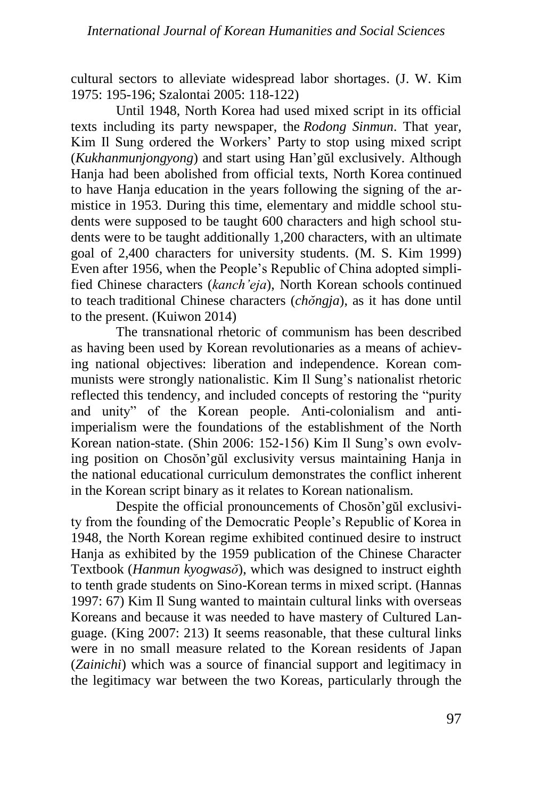cultural sectors to alleviate widespread labor shortages. (J. W. Kim 1975: 195-196; Szalontai 2005: 118-122)

Until 1948, North Korea had used mixed script in its official texts including its party newspaper, the *Rodong Sinmun*. That year, Kim Il Sung ordered the Workers' Party to stop using mixed script (*Kukhanmunjongyong*) and start using Han'gŭl exclusively. Although Hanja had been abolished from official texts, North Korea continued to have Hanja education in the years following the signing of the armistice in 1953. During this time, elementary and middle school students were supposed to be taught 600 characters and high school students were to be taught additionally 1,200 characters, with an ultimate goal of 2,400 characters for university students. (M. S. Kim 1999) Even after 1956, when the People's Republic of China adopted simplified Chinese characters (*kanch'eja*), North Korean schools continued to teach traditional Chinese characters (*chŏngja*), as it has done until to the present. (Kuiwon 2014)

The transnational rhetoric of communism has been described as having been used by Korean revolutionaries as a means of achieving national objectives: liberation and independence. Korean communists were strongly nationalistic. Kim Il Sung's nationalist rhetoric reflected this tendency, and included concepts of restoring the "purity and unity" of the Korean people. Anti-colonialism and antiimperialism were the foundations of the establishment of the North Korean nation-state. (Shin 2006: 152-156) Kim Il Sung's own evolving position on Chosŏn'gŭl exclusivity versus maintaining Hanja in the national educational curriculum demonstrates the conflict inherent in the Korean script binary as it relates to Korean nationalism.

Despite the official pronouncements of Chosŏn'gŭl exclusivity from the founding of the Democratic People's Republic of Korea in 1948, the North Korean regime exhibited continued desire to instruct Hanja as exhibited by the 1959 publication of the Chinese Character Textbook (*Hanmun kyogwasŏ*), which was designed to instruct eighth to tenth grade students on Sino-Korean terms in mixed script. (Hannas 1997: 67) Kim Il Sung wanted to maintain cultural links with overseas Koreans and because it was needed to have mastery of Cultured Language. (King 2007: 213) It seems reasonable, that these cultural links were in no small measure related to the Korean residents of Japan (*Zainichi*) which was a source of financial support and legitimacy in the legitimacy war between the two Koreas, particularly through the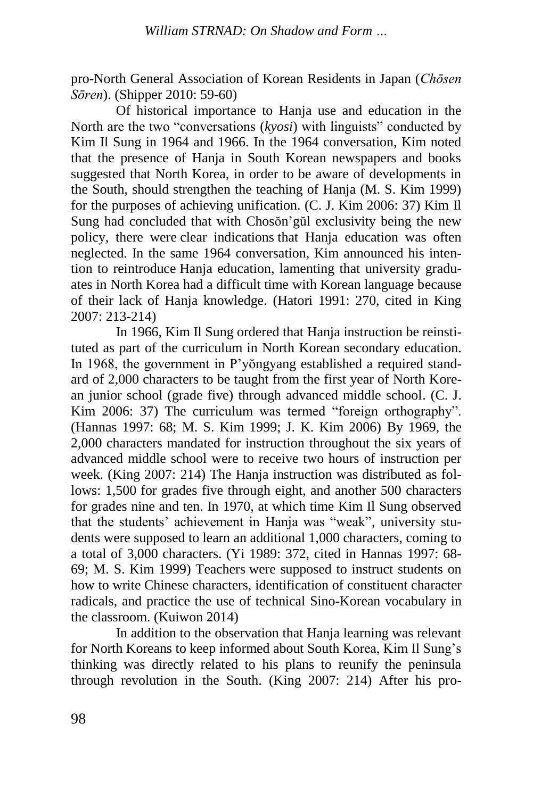pro-North General Association of Korean Residents in Japan (*Chōsen Sōren*). (Shipper 2010: 59-60)

Of historical importance to Hanja use and education in the North are the two "conversations (*kyosi*) with linguists" conducted by Kim Il Sung in 1964 and 1966. In the 1964 conversation, Kim noted that the presence of Hanja in South Korean newspapers and books suggested that North Korea, in order to be aware of developments in the South, should strengthen the teaching of Hanja (M. S. Kim 1999) for the purposes of achieving unification. (C. J. Kim 2006: 37) Kim Il Sung had concluded that with Chosŏn'gŭl exclusivity being the new policy, there were clear indications that Hanja education was often neglected. In the same 1964 conversation, Kim announced his intention to reintroduce Hanja education, lamenting that university graduates in North Korea had a difficult time with Korean language because of their lack of Hanja knowledge. (Hatori 1991: 270, cited in King 2007: 213-214)

In 1966, Kim Il Sung ordered that Hanja instruction be reinstituted as part of the curriculum in North Korean secondary education. In 1968, the government in P'yŏngyang established a required standard of 2,000 characters to be taught from the first year of North Korean junior school (grade five) through advanced middle school. (C. J. Kim 2006: 37) The curriculum was termed "foreign orthography". (Hannas 1997: 68; M. S. Kim 1999; J. K. Kim 2006) By 1969, the 2,000 characters mandated for instruction throughout the six years of advanced middle school were to receive two hours of instruction per week. (King 2007: 214) The Hanja instruction was distributed as follows: 1,500 for grades five through eight, and another 500 characters for grades nine and ten. In 1970, at which time Kim Il Sung observed that the students' achievement in Hanja was "weak", university students were supposed to learn an additional 1,000 characters, coming to a total of 3,000 characters. (Yi 1989: 372, cited in Hannas 1997: 68- 69; M. S. Kim 1999) Teachers were supposed to instruct students on how to write Chinese characters, identification of constituent character radicals, and practice the use of technical Sino-Korean vocabulary in the classroom. (Kuiwon 2014)

In addition to the observation that Hanja learning was relevant for North Koreans to keep informed about South Korea, Kim Il Sung's thinking was directly related to his plans to reunify the peninsula through revolution in the South. (King 2007: 214) After his pro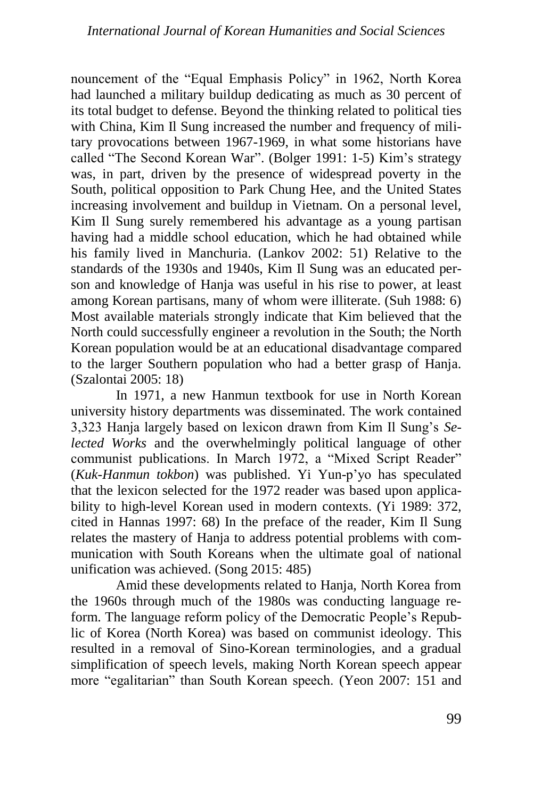nouncement of the "Equal Emphasis Policy" in 1962, North Korea had launched a military buildup dedicating as much as 30 percent of its total budget to defense. Beyond the thinking related to political ties with China, Kim Il Sung increased the number and frequency of military provocations between 1967-1969, in what some historians have called "The Second Korean War". (Bolger 1991: 1-5) Kim's strategy was, in part, driven by the presence of widespread poverty in the South, political opposition to Park Chung Hee, and the United States increasing involvement and buildup in Vietnam. On a personal level, Kim Il Sung surely remembered his advantage as a young partisan having had a middle school education, which he had obtained while his family lived in Manchuria. (Lankov 2002: 51) Relative to the standards of the 1930s and 1940s, Kim Il Sung was an educated person and knowledge of Hanja was useful in his rise to power, at least among Korean partisans, many of whom were illiterate. (Suh 1988: 6) Most available materials strongly indicate that Kim believed that the North could successfully engineer a revolution in the South; the North Korean population would be at an educational disadvantage compared to the larger Southern population who had a better grasp of Hanja. (Szalontai 2005: 18)

In 1971, a new Hanmun textbook for use in North Korean university history departments was disseminated. The work contained 3,323 Hanja largely based on lexicon drawn from Kim Il Sung's *Selected Works* and the overwhelmingly political language of other communist publications. In March 1972, a "Mixed Script Reader" (*Kuk-Hanmun tokbon*) was published. Yi Yun-p'yo has speculated that the lexicon selected for the 1972 reader was based upon applicability to high-level Korean used in modern contexts. (Yi 1989: 372, cited in Hannas 1997: 68) In the preface of the reader, Kim Il Sung relates the mastery of Hanja to address potential problems with communication with South Koreans when the ultimate goal of national unification was achieved. (Song 2015: 485)

Amid these developments related to Hanja, North Korea from the 1960s through much of the 1980s was conducting language reform. The language reform policy of the Democratic People's Republic of Korea (North Korea) was based on communist ideology. This resulted in a removal of Sino-Korean terminologies, and a gradual simplification of speech levels, making North Korean speech appear more "egalitarian" than South Korean speech. (Yeon 2007: 151 and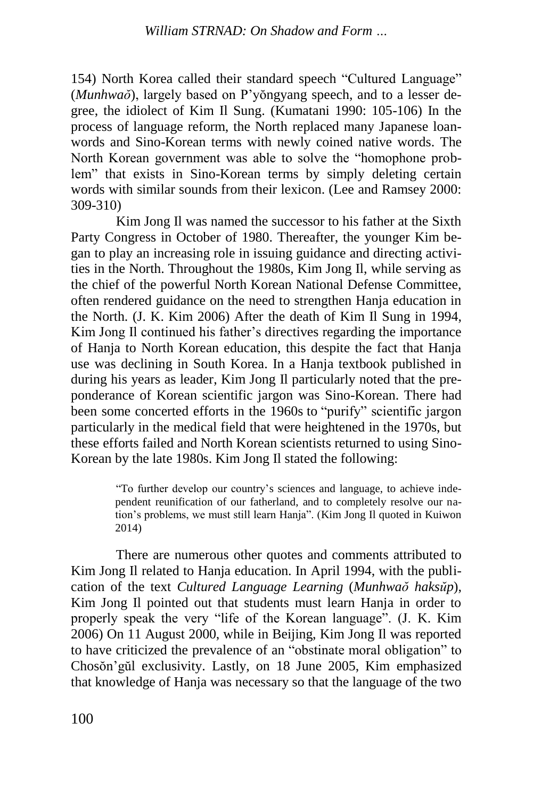154) North Korea called their standard speech "Cultured Language" (*Munhwaŏ*), largely based on P'yŏngyang speech, and to a lesser degree, the idiolect of Kim Il Sung. (Kumatani 1990: 105-106) In the process of language reform, the North replaced many Japanese loanwords and Sino-Korean terms with newly coined native words. The North Korean government was able to solve the "homophone problem" that exists in Sino-Korean terms by simply deleting certain words with similar sounds from their lexicon. (Lee and Ramsey 2000: 309-310)

Kim Jong Il was named the successor to his father at the Sixth Party Congress in October of 1980. Thereafter, the younger Kim began to play an increasing role in issuing guidance and directing activities in the North. Throughout the 1980s, Kim Jong Il, while serving as the chief of the powerful North Korean National Defense Committee, often rendered guidance on the need to strengthen Hanja education in the North. (J. K. Kim 2006) After the death of Kim Il Sung in 1994, Kim Jong Il continued his father's directives regarding the importance of Hanja to North Korean education, this despite the fact that Hanja use was declining in South Korea. In a Hanja textbook published in during his years as leader, Kim Jong Il particularly noted that the preponderance of Korean scientific jargon was Sino-Korean. There had been some concerted efforts in the 1960s to "purify" scientific jargon particularly in the medical field that were heightened in the 1970s, but these efforts failed and North Korean scientists returned to using Sino-Korean by the late 1980s. Kim Jong Il stated the following:

> "To further develop our country's sciences and language, to achieve independent reunification of our fatherland, and to completely resolve our nation's problems, we must still learn Hanja". (Kim Jong Il quoted in Kuiwon 2014)

There are numerous other quotes and comments attributed to Kim Jong Il related to Hanja education. In April 1994, with the publication of the text *Cultured Language Learning* (*Munhwaŏ haksŭp*), Kim Jong Il pointed out that students must learn Hanja in order to properly speak the very "life of the Korean language". (J. K. Kim 2006) On 11 August 2000, while in Beijing, Kim Jong Il was reported to have criticized the prevalence of an "obstinate moral obligation" to Chosŏn'gŭl exclusivity. Lastly, on 18 June 2005, Kim emphasized that knowledge of Hanja was necessary so that the language of the two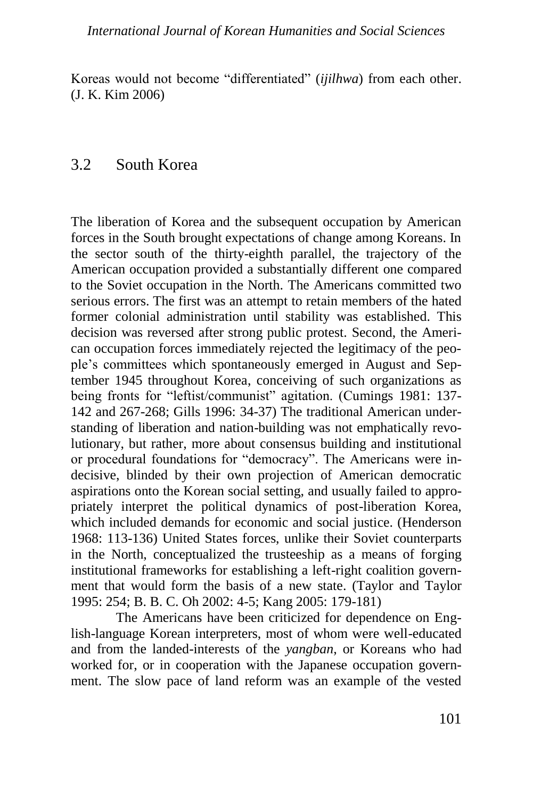#### *International Journal of Korean Humanities and Social Sciences*

Koreas would not become "differentiated" (*ijilhwa*) from each other. (J. K. Kim 2006)

### 3.2 South Korea

The liberation of Korea and the subsequent occupation by American forces in the South brought expectations of change among Koreans. In the sector south of the thirty-eighth parallel, the trajectory of the American occupation provided a substantially different one compared to the Soviet occupation in the North. The Americans committed two serious errors. The first was an attempt to retain members of the hated former colonial administration until stability was established. This decision was reversed after strong public protest. Second, the American occupation forces immediately rejected the legitimacy of the people's committees which spontaneously emerged in August and September 1945 throughout Korea, conceiving of such organizations as being fronts for "leftist/communist" agitation. (Cumings 1981: 137- 142 and 267-268; Gills 1996: 34-37) The traditional American understanding of liberation and nation-building was not emphatically revolutionary, but rather, more about consensus building and institutional or procedural foundations for "democracy". The Americans were indecisive, blinded by their own projection of American democratic aspirations onto the Korean social setting, and usually failed to appropriately interpret the political dynamics of post-liberation Korea, which included demands for economic and social justice. (Henderson 1968: 113-136) United States forces, unlike their Soviet counterparts in the North, conceptualized the trusteeship as a means of forging institutional frameworks for establishing a left-right coalition government that would form the basis of a new state. (Taylor and Taylor 1995: 254; B. B. C. Oh 2002: 4-5; Kang 2005: 179-181)

The Americans have been criticized for dependence on English-language Korean interpreters, most of whom were well-educated and from the landed-interests of the *yangban*, or Koreans who had worked for, or in cooperation with the Japanese occupation government. The slow pace of land reform was an example of the vested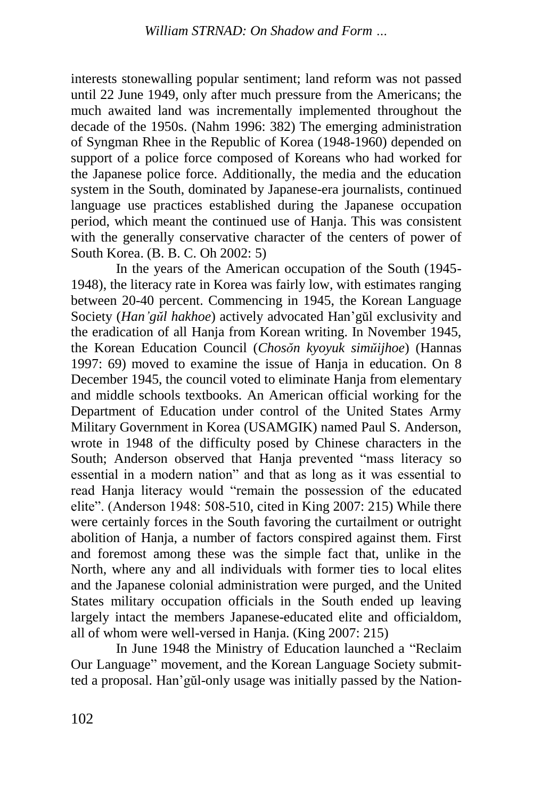interests stonewalling popular sentiment; land reform was not passed until 22 June 1949, only after much pressure from the Americans; the much awaited land was incrementally implemented throughout the decade of the 1950s. (Nahm 1996: 382) The emerging administration of Syngman Rhee in the Republic of Korea (1948-1960) depended on support of a police force composed of Koreans who had worked for the Japanese police force. Additionally, the media and the education system in the South, dominated by Japanese-era journalists, continued language use practices established during the Japanese occupation period, which meant the continued use of Hanja. This was consistent with the generally conservative character of the centers of power of South Korea. (B. B. C. Oh 2002: 5)

In the years of the American occupation of the South (1945- 1948), the literacy rate in Korea was fairly low, with estimates ranging between 20-40 percent. Commencing in 1945, the Korean Language Society (*Han'gŭl hakhoe*) actively advocated Han'gŭl exclusivity and the eradication of all Hanja from Korean writing. In November 1945, the Korean Education Council (*Chosŏn kyoyuk simŭijhoe*) (Hannas 1997: 69) moved to examine the issue of Hanja in education. On 8 December 1945, the council voted to eliminate Hanja from elementary and middle schools textbooks. An American official working for the Department of Education under control of the United States Army Military Government in Korea (USAMGIK) named Paul S. Anderson, wrote in 1948 of the difficulty posed by Chinese characters in the South; Anderson observed that Hanja prevented "mass literacy so essential in a modern nation" and that as long as it was essential to read Hanja literacy would "remain the possession of the educated elite". (Anderson 1948: 508-510, cited in King 2007: 215) While there were certainly forces in the South favoring the curtailment or outright abolition of Hanja, a number of factors conspired against them. First and foremost among these was the simple fact that, unlike in the North, where any and all individuals with former ties to local elites and the Japanese colonial administration were purged, and the United States military occupation officials in the South ended up leaving largely intact the members Japanese-educated elite and officialdom, all of whom were well-versed in Hanja. (King 2007: 215)

In June 1948 the Ministry of Education launched a "Reclaim Our Language" movement, and the Korean Language Society submitted a proposal. Han'gŭl-only usage was initially passed by the Nation-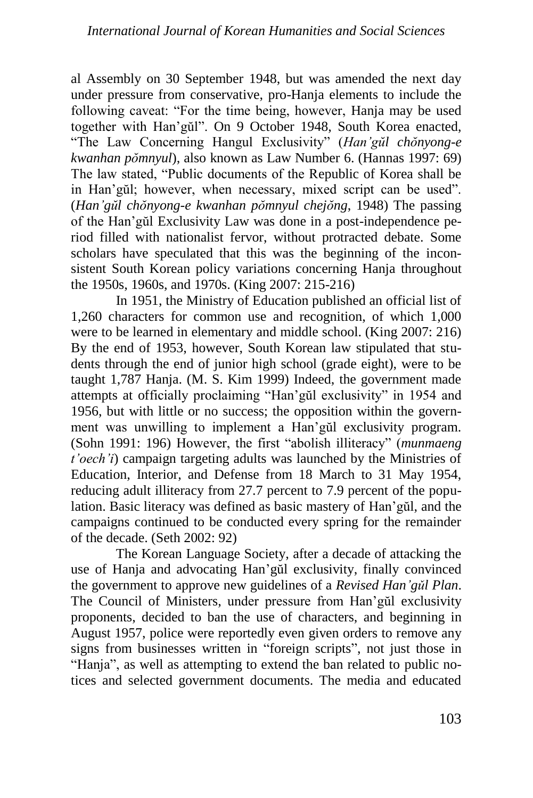al Assembly on 30 September 1948, but was amended the next day under pressure from conservative, pro-Hanja elements to include the following caveat: "For the time being, however, Hanja may be used together with Han'gŭl". On 9 October 1948, South Korea enacted, "The Law Concerning Hangul Exclusivity" (*Han'gŭl chŏnyong-e kwanhan pŏmnyul*), also known as Law Number 6. (Hannas 1997: 69) The law stated, "Public documents of the Republic of Korea shall be in Han'gŭl; however, when necessary, mixed script can be used". (*Han'gŭl chŏnyong-e kwanhan pŏmnyul chejŏng*, 1948) The passing of the Han'gŭl Exclusivity Law was done in a post-independence period filled with nationalist fervor, without protracted debate. Some scholars have speculated that this was the beginning of the inconsistent South Korean policy variations concerning Hanja throughout the 1950s, 1960s, and 1970s. (King 2007: 215-216)

In 1951, the Ministry of Education published an official list of 1,260 characters for common use and recognition, of which 1,000 were to be learned in elementary and middle school. (King 2007: 216) By the end of 1953, however, South Korean law stipulated that students through the end of junior high school (grade eight), were to be taught 1,787 Hanja. (M. S. Kim 1999) Indeed, the government made attempts at officially proclaiming "Han'gŭl exclusivity" in 1954 and 1956, but with little or no success; the opposition within the government was unwilling to implement a Han'gŭl exclusivity program. (Sohn 1991: 196) However, the first "abolish illiteracy" (*munmaeng t'oech'i*) campaign targeting adults was launched by the Ministries of Education, Interior, and Defense from 18 March to 31 May 1954, reducing adult illiteracy from 27.7 percent to 7.9 percent of the population. Basic literacy was defined as basic mastery of Han'gŭl, and the campaigns continued to be conducted every spring for the remainder of the decade. (Seth 2002: 92)

The Korean Language Society, after a decade of attacking the use of Hanja and advocating Han'gŭl exclusivity, finally convinced the government to approve new guidelines of a *Revised Han'gǔl Plan*. The Council of Ministers, under pressure from Han'gŭl exclusivity proponents, decided to ban the use of characters, and beginning in August 1957, police were reportedly even given orders to remove any signs from businesses written in "foreign scripts", not just those in "Hanja", as well as attempting to extend the ban related to public notices and selected government documents. The media and educated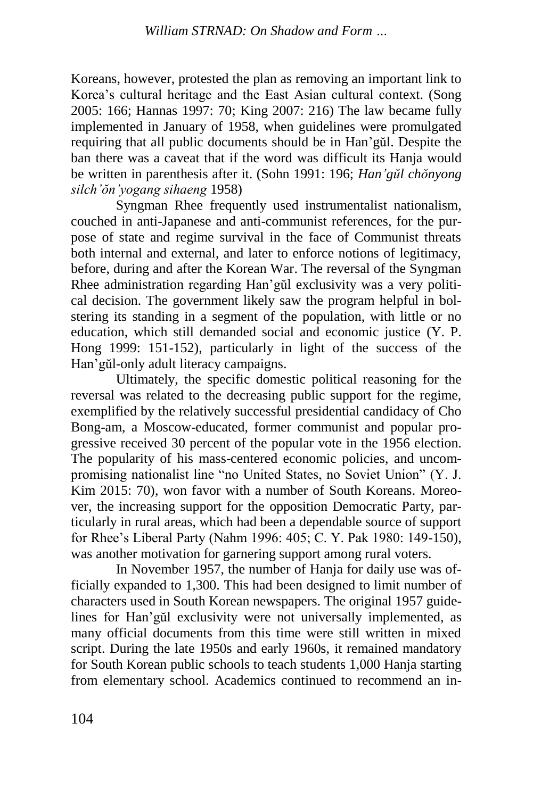Koreans, however, protested the plan as removing an important link to Korea's cultural heritage and the East Asian cultural context. (Song 2005: 166; Hannas 1997: 70; King 2007: 216) The law became fully implemented in January of 1958, when guidelines were promulgated requiring that all public documents should be in Han'gŭl. Despite the ban there was a caveat that if the word was difficult its Hanja would be written in parenthesis after it. (Sohn 1991: 196; *Han'gŭl chŏnyong silch'ŏn'yogang sihaeng* 1958)

Syngman Rhee frequently used instrumentalist nationalism, couched in anti-Japanese and anti-communist references, for the purpose of state and regime survival in the face of Communist threats both internal and external, and later to enforce notions of legitimacy, before, during and after the Korean War. The reversal of the Syngman Rhee administration regarding Han'gŭl exclusivity was a very political decision. The government likely saw the program helpful in bolstering its standing in a segment of the population, with little or no education, which still demanded social and economic justice (Y. P. Hong 1999: 151-152), particularly in light of the success of the Han'gŭl-only adult literacy campaigns.

Ultimately, the specific domestic political reasoning for the reversal was related to the decreasing public support for the regime, exemplified by the relatively successful presidential candidacy of Cho Bong-am, a Moscow-educated, former communist and popular progressive received 30 percent of the popular vote in the 1956 election. The popularity of his mass-centered economic policies, and uncompromising nationalist line "no United States, no Soviet Union" (Y. J. Kim 2015: 70), won favor with a number of South Koreans. Moreover, the increasing support for the opposition Democratic Party, particularly in rural areas, which had been a dependable source of support for Rhee's Liberal Party (Nahm 1996: 405; C. Y. Pak 1980: 149-150), was another motivation for garnering support among rural voters.

In November 1957, the number of Hanja for daily use was officially expanded to 1,300. This had been designed to limit number of characters used in South Korean newspapers. The original 1957 guidelines for Han'gŭl exclusivity were not universally implemented, as many official documents from this time were still written in mixed script. During the late 1950s and early 1960s, it remained mandatory for South Korean public schools to teach students 1,000 Hanja starting from elementary school. Academics continued to recommend an in-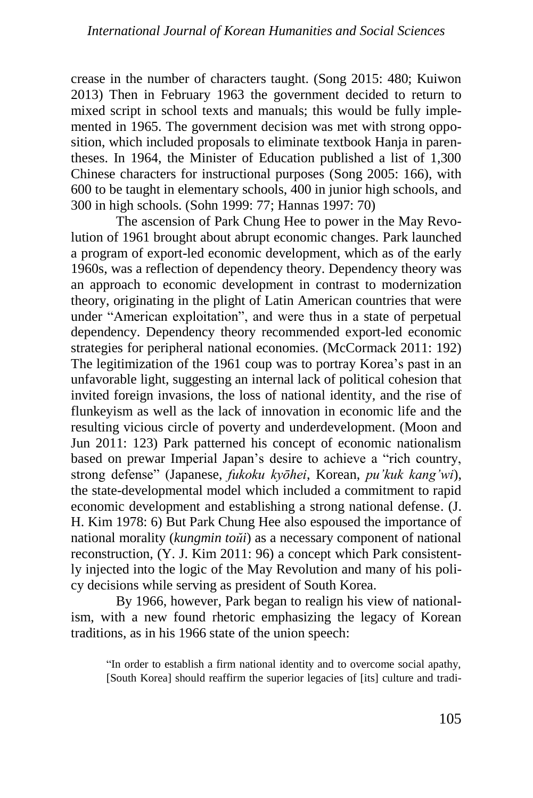crease in the number of characters taught. (Song 2015: 480; Kuiwon 2013) Then in February 1963 the government decided to return to mixed script in school texts and manuals; this would be fully implemented in 1965. The government decision was met with strong opposition, which included proposals to eliminate textbook Hanja in parentheses. In 1964, the Minister of Education published a list of 1,300 Chinese characters for instructional purposes (Song 2005: 166), with 600 to be taught in elementary schools, 400 in junior high schools, and 300 in high schools. (Sohn 1999: 77; Hannas 1997: 70)

The ascension of Park Chung Hee to power in the May Revolution of 1961 brought about abrupt economic changes. Park launched a program of export-led economic development, which as of the early 1960s, was a reflection of dependency theory. Dependency theory was an approach to economic development in contrast to modernization theory, originating in the plight of Latin American countries that were under "American exploitation", and were thus in a state of perpetual dependency. Dependency theory recommended export-led economic strategies for peripheral national economies. (McCormack 2011: 192) The legitimization of the 1961 coup was to portray Korea's past in an unfavorable light, suggesting an internal lack of political cohesion that invited foreign invasions, the loss of national identity, and the rise of flunkeyism as well as the lack of innovation in economic life and the resulting vicious circle of poverty and underdevelopment. (Moon and Jun 2011: 123) Park patterned his concept of economic nationalism based on prewar Imperial Japan's desire to achieve a "rich country, strong defense" (Japanese, *fukoku kyōhei*, Korean, *pu'kuk kang'wi*), the state-developmental model which included a commitment to rapid economic development and establishing a strong national defense. (J. H. Kim 1978: 6) But Park Chung Hee also espoused the importance of national morality (*kungmin toŭi*) as a necessary component of national reconstruction, (Y. J. Kim 2011: 96) a concept which Park consistently injected into the logic of the May Revolution and many of his policy decisions while serving as president of South Korea.

By 1966, however, Park began to realign his view of nationalism, with a new found rhetoric emphasizing the legacy of Korean traditions, as in his 1966 state of the union speech:

"In order to establish a firm national identity and to overcome social apathy, [South Korea] should reaffirm the superior legacies of [its] culture and tradi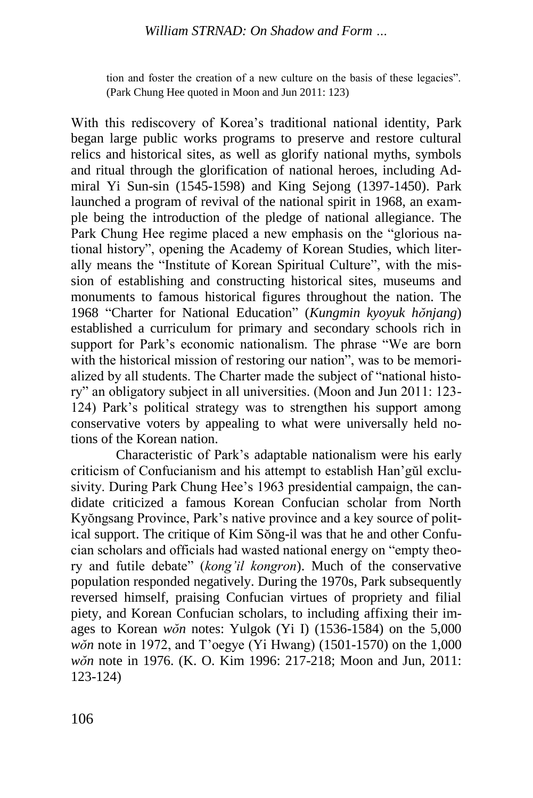tion and foster the creation of a new culture on the basis of these legacies". (Park Chung Hee quoted in Moon and Jun 2011: 123)

With this rediscovery of Korea's traditional national identity, Park began large public works programs to preserve and restore cultural relics and historical sites, as well as glorify national myths, symbols and ritual through the glorification of national heroes, including Admiral Yi Sun-sin (1545-1598) and King Sejong (1397-1450). Park launched a program of revival of the national spirit in 1968, an example being the introduction of the pledge of national allegiance. The Park Chung Hee regime placed a new emphasis on the "glorious national history", opening the Academy of Korean Studies, which literally means the "Institute of Korean Spiritual Culture", with the mission of establishing and constructing historical sites, museums and monuments to famous historical figures throughout the nation. The 1968 "Charter for National Education" (*Kungmin kyoyuk hŏnjang*) established a curriculum for primary and secondary schools rich in support for Park's economic nationalism. The phrase "We are born with the historical mission of restoring our nation", was to be memorialized by all students. The Charter made the subject of "national history" an obligatory subject in all universities. (Moon and Jun 2011: 123- 124) Park's political strategy was to strengthen his support among conservative voters by appealing to what were universally held notions of the Korean nation.

Characteristic of Park's adaptable nationalism were his early criticism of Confucianism and his attempt to establish Han'gŭl exclusivity. During Park Chung Hee's 1963 presidential campaign, the candidate criticized a famous Korean Confucian scholar from North Kyŏngsang Province, Park's native province and a key source of political support. The critique of Kim Sŏng-il was that he and other Confucian scholars and officials had wasted national energy on "empty theory and futile debate" (*kong'il kongron*). Much of the conservative population responded negatively. During the 1970s, Park subsequently reversed himself, praising Confucian virtues of propriety and filial piety, and Korean Confucian scholars, to including affixing their images to Korean *wŏn* notes: Yulgok (Yi I) (1536-1584) on the 5,000 *wŏn* note in 1972, and T'oegye (Yi Hwang) (1501-1570) on the 1,000 *wŏn* note in 1976. (K. O. Kim 1996: 217-218; Moon and Jun, 2011: 123-124)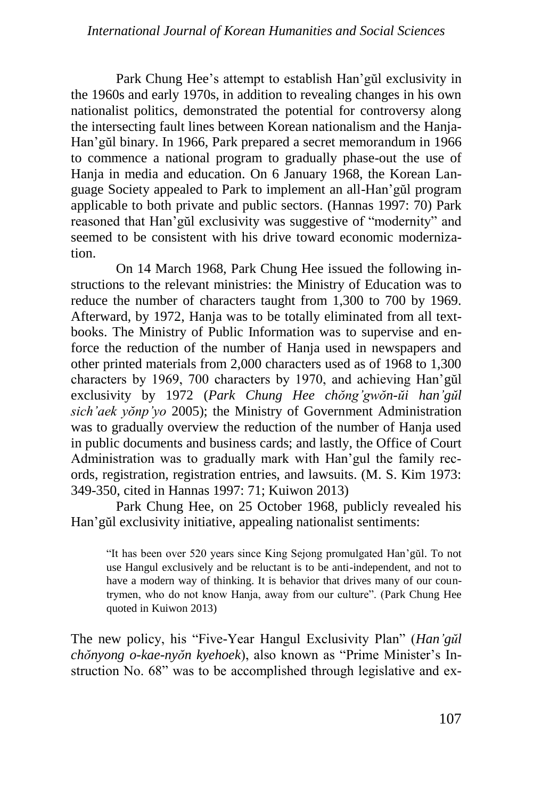Park Chung Hee's attempt to establish Han'gŭl exclusivity in the 1960s and early 1970s, in addition to revealing changes in his own nationalist politics, demonstrated the potential for controversy along the intersecting fault lines between Korean nationalism and the Hanja-Han'gŭl binary. In 1966, Park prepared a secret memorandum in 1966 to commence a national program to gradually phase-out the use of Hanja in media and education. On 6 January 1968, the Korean Language Society appealed to Park to implement an all-Han'gŭl program applicable to both private and public sectors. (Hannas 1997: 70) Park reasoned that Han'gŭl exclusivity was suggestive of "modernity" and seemed to be consistent with his drive toward economic modernization.

On 14 March 1968, Park Chung Hee issued the following instructions to the relevant ministries: the Ministry of Education was to reduce the number of characters taught from 1,300 to 700 by 1969. Afterward, by 1972, Hanja was to be totally eliminated from all textbooks. The Ministry of Public Information was to supervise and enforce the reduction of the number of Hanja used in newspapers and other printed materials from 2,000 characters used as of 1968 to 1,300 characters by 1969, 700 characters by 1970, and achieving Han'gŭl exclusivity by 1972 (*Park Chung Hee chŏng'gwŏn-ŭi han'gŭl sich'aek yŏnp'yo* 2005); the Ministry of Government Administration was to gradually overview the reduction of the number of Hanja used in public documents and business cards; and lastly, the Office of Court Administration was to gradually mark with Han'gul the family records, registration, registration entries, and lawsuits. (M. S. Kim 1973: 349-350, cited in Hannas 1997: 71; Kuiwon 2013)

Park Chung Hee, on 25 October 1968, publicly revealed his Han'gŭl exclusivity initiative, appealing nationalist sentiments:

"It has been over 520 years since King Sejong promulgated Han'gŭl. To not use Hangul exclusively and be reluctant is to be anti-independent, and not to have a modern way of thinking. It is behavior that drives many of our countrymen, who do not know Hanja, away from our culture". (Park Chung Hee quoted in Kuiwon 2013)

The new policy, his "Five-Year Hangul Exclusivity Plan" (*Han'gŭl chŏnyong o-kae-nyŏn kyehoek*), also known as "Prime Minister's Instruction No. 68" was to be accomplished through legislative and ex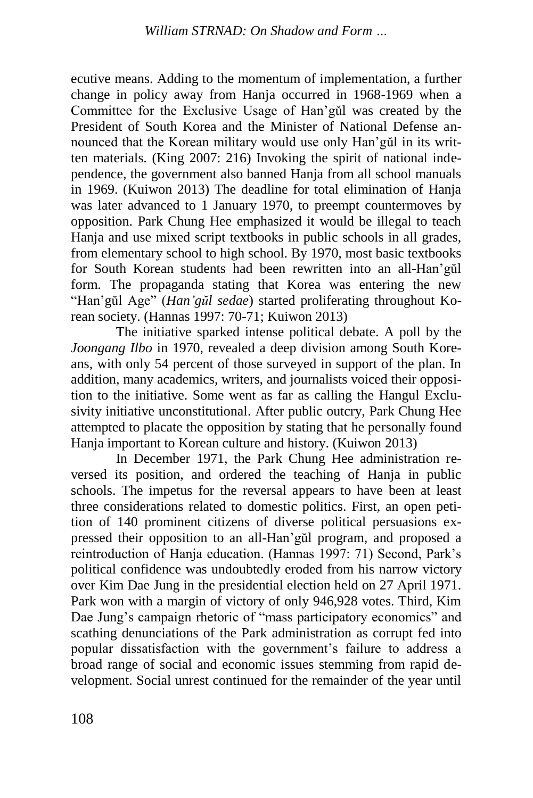ecutive means. Adding to the momentum of implementation, a further change in policy away from Hanja occurred in 1968-1969 when a Committee for the Exclusive Usage of Han'gǔl was created by the President of South Korea and the Minister of National Defense announced that the Korean military would use only Han'gǔl in its written materials. (King 2007: 216) Invoking the spirit of national independence, the government also banned Hanja from all school manuals in 1969. (Kuiwon 2013) The deadline for total elimination of Hanja was later advanced to 1 January 1970, to preempt countermoves by opposition. Park Chung Hee emphasized it would be illegal to teach Hanja and use mixed script textbooks in public schools in all grades, from elementary school to high school. By 1970, most basic textbooks for South Korean students had been rewritten into an all-Han'gŭl form. The propaganda stating that Korea was entering the new "Han'gŭl Age" (*Han'gŭl sedae*) started proliferating throughout Korean society. (Hannas 1997: 70-71; Kuiwon 2013)

The initiative sparked intense political debate. A poll by the *Joongang Ilbo* in 1970, revealed a deep division among South Koreans, with only 54 percent of those surveyed in support of the plan. In addition, many academics, writers, and journalists voiced their opposition to the initiative. Some went as far as calling the Hangul Exclusivity initiative unconstitutional. After public outcry, Park Chung Hee attempted to placate the opposition by stating that he personally found Hanja important to Korean culture and history. (Kuiwon 2013)

In December 1971, the Park Chung Hee administration reversed its position, and ordered the teaching of Hanja in public schools. The impetus for the reversal appears to have been at least three considerations related to domestic politics. First, an open petition of 140 prominent citizens of diverse political persuasions expressed their opposition to an all-Han'gŭl program, and proposed a reintroduction of Hanja education. (Hannas 1997: 71) Second, Park's political confidence was undoubtedly eroded from his narrow victory over Kim Dae Jung in the presidential election held on 27 April 1971. Park won with a margin of victory of only 946,928 votes. Third, Kim Dae Jung's campaign rhetoric of "mass participatory economics" and scathing denunciations of the Park administration as corrupt fed into popular dissatisfaction with the government's failure to address a broad range of social and economic issues stemming from rapid development. Social unrest continued for the remainder of the year until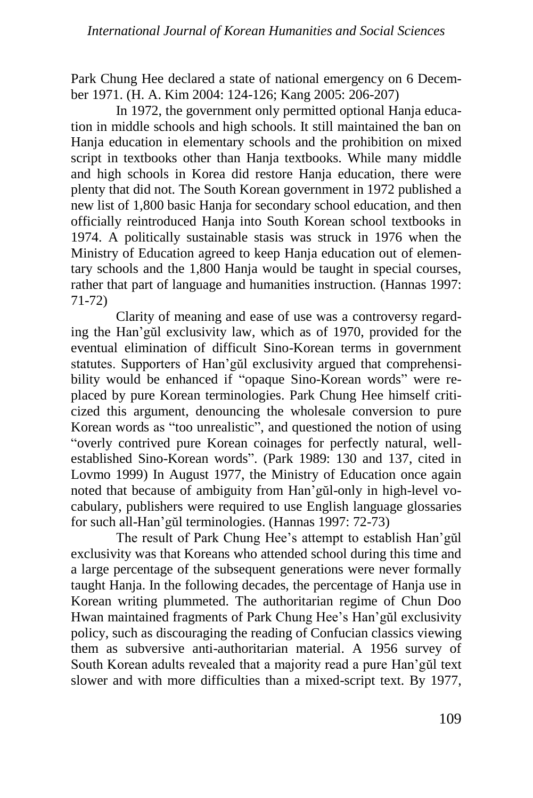Park Chung Hee declared a state of national emergency on 6 December 1971. (H. A. Kim 2004: 124-126; Kang 2005: 206-207)

In 1972, the government only permitted optional Hanja education in middle schools and high schools. It still maintained the ban on Hanja education in elementary schools and the prohibition on mixed script in textbooks other than Hanja textbooks. While many middle and high schools in Korea did restore Hanja education, there were plenty that did not. The South Korean government in 1972 published a new list of 1,800 basic Hanja for secondary school education, and then officially reintroduced Hanja into South Korean school textbooks in 1974. A politically sustainable stasis was struck in 1976 when the Ministry of Education agreed to keep Hanja education out of elementary schools and the 1,800 Hanja would be taught in special courses, rather that part of language and humanities instruction. (Hannas 1997: 71-72)

Clarity of meaning and ease of use was a controversy regarding the Han'gŭl exclusivity law, which as of 1970, provided for the eventual elimination of difficult Sino-Korean terms in government statutes. Supporters of Han'gŭl exclusivity argued that comprehensibility would be enhanced if "opaque Sino-Korean words" were replaced by pure Korean terminologies. Park Chung Hee himself criticized this argument, denouncing the wholesale conversion to pure Korean words as "too unrealistic", and questioned the notion of using "overly contrived pure Korean coinages for perfectly natural, wellestablished Sino-Korean words". (Park 1989: 130 and 137, cited in Lovmo 1999) In August 1977, the Ministry of Education once again noted that because of ambiguity from Han'gŭl-only in high-level vocabulary, publishers were required to use English language glossaries for such all-Han'gŭl terminologies. (Hannas 1997: 72-73)

The result of Park Chung Hee's attempt to establish Han'gŭl exclusivity was that Koreans who attended school during this time and a large percentage of the subsequent generations were never formally taught Hanja. In the following decades, the percentage of Hanja use in Korean writing plummeted. The authoritarian regime of Chun Doo Hwan maintained fragments of Park Chung Hee's Han'gŭl exclusivity policy, such as discouraging the reading of Confucian classics viewing them as subversive anti-authoritarian material. A 1956 survey of South Korean adults revealed that a majority read a pure Han'gŭl text slower and with more difficulties than a mixed-script text. By 1977,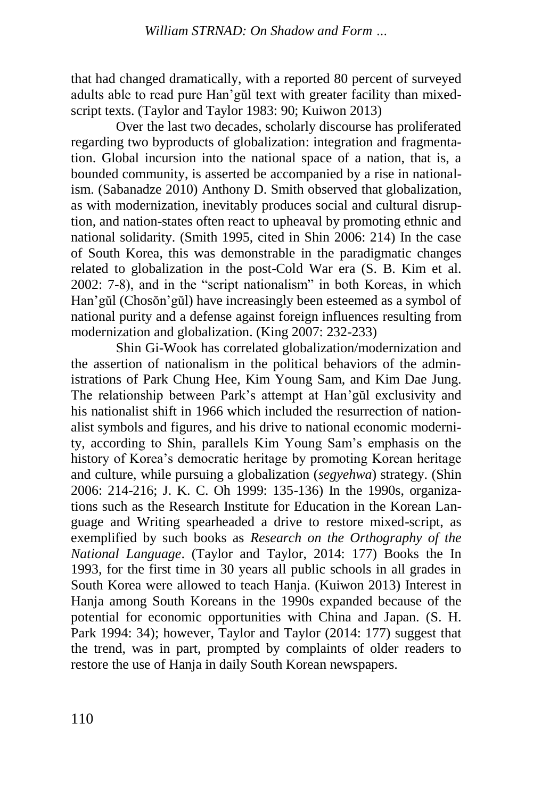that had changed dramatically, with a reported 80 percent of surveyed adults able to read pure Han'gŭl text with greater facility than mixedscript texts. (Taylor and Taylor 1983: 90; Kuiwon 2013)

Over the last two decades, scholarly discourse has proliferated regarding two byproducts of globalization: integration and fragmentation. Global incursion into the national space of a nation, that is, a bounded community, is asserted be accompanied by a rise in nationalism. (Sabanadze 2010) Anthony D. Smith observed that globalization, as with modernization, inevitably produces social and cultural disruption, and nation-states often react to upheaval by promoting ethnic and national solidarity. (Smith 1995, cited in Shin 2006: 214) In the case of South Korea, this was demonstrable in the paradigmatic changes related to globalization in the post-Cold War era (S. B. Kim et al. 2002: 7-8), and in the "script nationalism" in both Koreas, in which Han'gŭl (Chosŏn'gŭl) have increasingly been esteemed as a symbol of national purity and a defense against foreign influences resulting from modernization and globalization. (King 2007: 232-233)

Shin Gi-Wook has correlated globalization/modernization and the assertion of nationalism in the political behaviors of the administrations of Park Chung Hee, Kim Young Sam, and Kim Dae Jung. The relationship between Park's attempt at Han'gŭl exclusivity and his nationalist shift in 1966 which included the resurrection of nationalist symbols and figures, and his drive to national economic modernity, according to Shin, parallels Kim Young Sam's emphasis on the history of Korea's democratic heritage by promoting Korean heritage and culture, while pursuing a globalization (*segyehwa*) strategy. (Shin 2006: 214-216; J. K. C. Oh 1999: 135-136) In the 1990s, organizations such as the Research Institute for Education in the Korean Language and Writing spearheaded a drive to restore mixed-script, as exemplified by such books as *Research on the Orthography of the National Language*. (Taylor and Taylor, 2014: 177) Books the In 1993, for the first time in 30 years all public schools in all grades in South Korea were allowed to teach Hanja. (Kuiwon 2013) Interest in Hanja among South Koreans in the 1990s expanded because of the potential for economic opportunities with China and Japan. (S. H. Park 1994: 34); however, Taylor and Taylor (2014: 177) suggest that the trend, was in part, prompted by complaints of older readers to restore the use of Hanja in daily South Korean newspapers.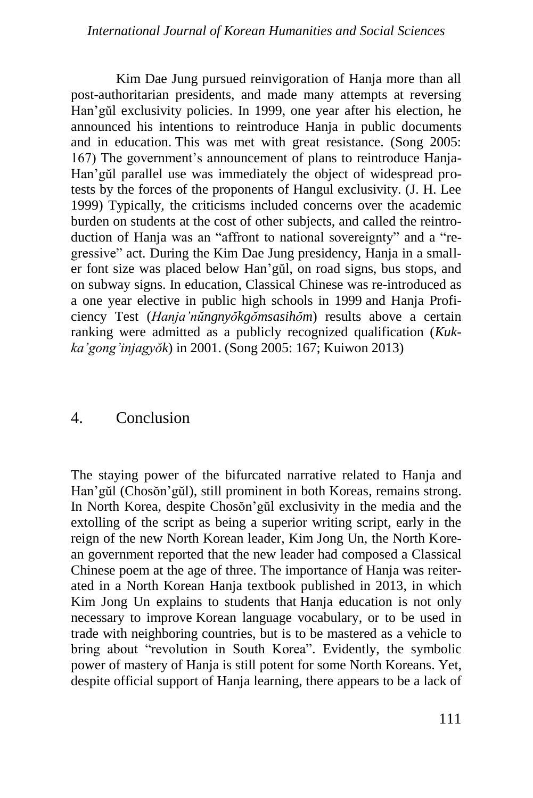#### *International Journal of Korean Humanities and Social Sciences*

Kim Dae Jung pursued reinvigoration of Hanja more than all post-authoritarian presidents, and made many attempts at reversing Han'gŭl exclusivity policies. In 1999, one year after his election, he announced his intentions to reintroduce Hanja in public documents and in education. This was met with great resistance. (Song 2005: 167) The government's announcement of plans to reintroduce Hanja-Han'gŭl parallel use was immediately the object of widespread protests by the forces of the proponents of Hangul exclusivity. (J. H. Lee 1999) Typically, the criticisms included concerns over the academic burden on students at the cost of other subjects, and called the reintroduction of Hanja was an "affront to national sovereignty" and a "regressive" act. During the Kim Dae Jung presidency, Hanja in a smaller font size was placed below Han'gŭl, on road signs, bus stops, and on subway signs. In education, Classical Chinese was re-introduced as a one year elective in public high schools in 1999 and Hanja Proficiency Test (*Hanja'nŭngnyŏkgŏmsasihŏm*) results above a certain ranking were admitted as a publicly recognized qualification (*Kukka'gong'injagyŏk*) in 2001. (Song 2005: 167; Kuiwon 2013)

#### 4. Conclusion

The staying power of the bifurcated narrative related to Hanja and Han'gŭl (Chosŏn'gŭl), still prominent in both Koreas, remains strong. In North Korea, despite Chosŏn'gŭl exclusivity in the media and the extolling of the script as being a superior writing script, early in the reign of the new North Korean leader, Kim Jong Un, the North Korean government reported that the new leader had composed a Classical Chinese poem at the age of three. The importance of Hanja was reiterated in a North Korean Hanja textbook published in 2013, in which Kim Jong Un explains to students that Hanja education is not only necessary to improve Korean language vocabulary, or to be used in trade with neighboring countries, but is to be mastered as a vehicle to bring about "revolution in South Korea". Evidently, the symbolic power of mastery of Hanja is still potent for some North Koreans. Yet, despite official support of Hanja learning, there appears to be a lack of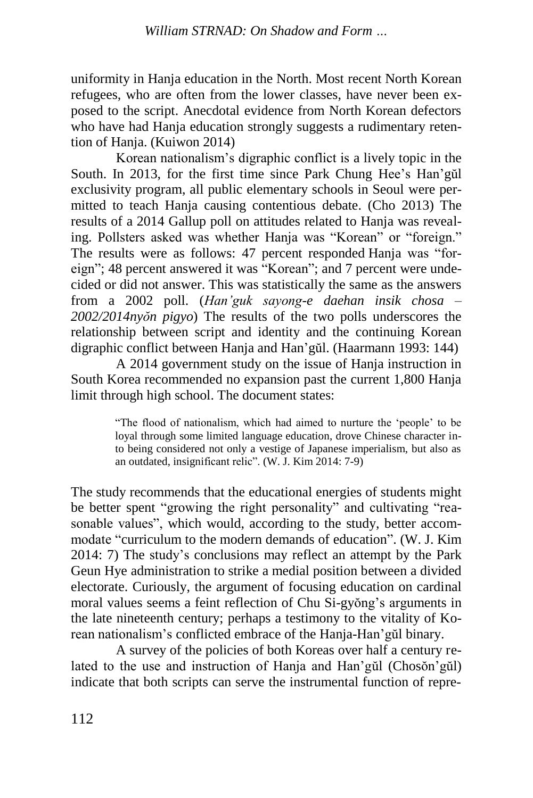uniformity in Hanja education in the North. Most recent North Korean refugees, who are often from the lower classes, have never been exposed to the script. Anecdotal evidence from North Korean defectors who have had Hanja education strongly suggests a rudimentary retention of Hanja. (Kuiwon 2014)

Korean nationalism's digraphic conflict is a lively topic in the South. In 2013, for the first time since Park Chung Hee's Han'gŭl exclusivity program, all public elementary schools in Seoul were permitted to teach Hanja causing contentious debate. (Cho 2013) The results of a 2014 Gallup poll on attitudes related to Hanja was revealing. Pollsters asked was whether Hanja was "Korean" or "foreign." The results were as follows: 47 percent responded Hanja was "foreign"; 48 percent answered it was "Korean"; and 7 percent were undecided or did not answer. This was statistically the same as the answers from a 2002 poll. (*Han'guk sayong-e daehan insik chosa – 2002/2014nyŏn pigyo*) The results of the two polls underscores the relationship between script and identity and the continuing Korean digraphic conflict between Hanja and Han'gŭl. (Haarmann 1993: 144)

A 2014 government study on the issue of Hanja instruction in South Korea recommended no expansion past the current 1,800 Hanja limit through high school. The document states:

> "The flood of nationalism, which had aimed to nurture the 'people' to be loyal through some limited language education, drove Chinese character into being considered not only a vestige of Japanese imperialism, but also as an outdated, insignificant relic". (W. J. Kim 2014: 7-9)

The study recommends that the educational energies of students might be better spent "growing the right personality" and cultivating "reasonable values", which would, according to the study, better accommodate "curriculum to the modern demands of education". (W. J. Kim 2014: 7) The study's conclusions may reflect an attempt by the Park Geun Hye administration to strike a medial position between a divided electorate. Curiously, the argument of focusing education on cardinal moral values seems a feint reflection of Chu Si-gyŏng's arguments in the late nineteenth century; perhaps a testimony to the vitality of Korean nationalism's conflicted embrace of the Hanja-Han'gŭl binary.

A survey of the policies of both Koreas over half a century related to the use and instruction of Hanja and Han'gŭl (Chosŏn'gŭl) indicate that both scripts can serve the instrumental function of repre-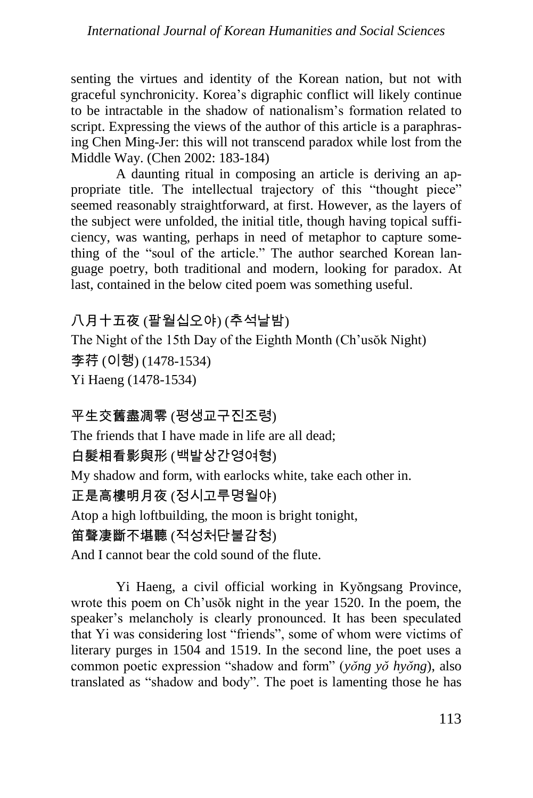senting the virtues and identity of the Korean nation, but not with graceful synchronicity. Korea's digraphic conflict will likely continue to be intractable in the shadow of nationalism's formation related to script. Expressing the views of the author of this article is a paraphrasing Chen Ming-Jer: this will not transcend paradox while lost from the Middle Way. (Chen 2002: 183-184)

A daunting ritual in composing an article is deriving an appropriate title. The intellectual trajectory of this "thought piece" seemed reasonably straightforward, at first. However, as the layers of the subject were unfolded, the initial title, though having topical sufficiency, was wanting, perhaps in need of metaphor to capture something of the "soul of the article." The author searched Korean language poetry, both traditional and modern, looking for paradox. At last, contained in the below cited poem was something useful.

# 八月十五夜 (팔월십오야) (추석날밤)

The Night of the 15th Day of the Eighth Month (Ch'usŏk Night) 李荇 (이행) (1478-1534) Yi Haeng (1478-1534)

# 平生交舊盡凋零 (평생교구진조령)

The friends that I have made in life are all dead;

白髮相看影與形 (백발상간영여형)

My shadow and form, with earlocks white, take each other in.

# 正是高樓明月夜 (정시고루명월야)

Atop a high loftbuilding, the moon is bright tonight,

# 笛聲凄斷不堪聽 (적성처단불감청)

And I cannot bear the cold sound of the flute.

Yi Haeng, a civil official working in Kyŏngsang Province, wrote this poem on Ch'usŏk night in the year 1520. In the poem, the speaker's melancholy is clearly pronounced. It has been speculated that Yi was considering lost "friends", some of whom were victims of literary purges in 1504 and 1519. In the second line, the poet uses a common poetic expression "shadow and form" (*yŏng yŏ hyŏng*), also translated as "shadow and body". The poet is lamenting those he has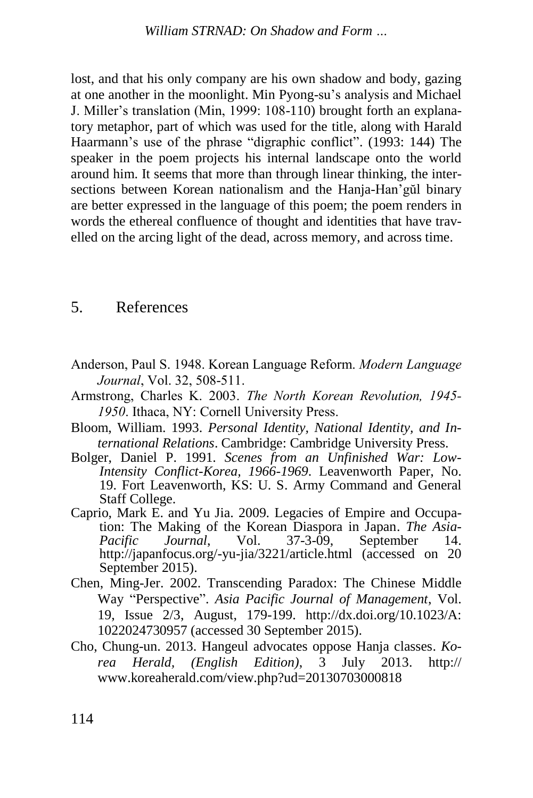lost, and that his only company are his own shadow and body, gazing at one another in the moonlight. Min Pyong-su's analysis and Michael J. Miller's translation (Min, 1999: 108-110) brought forth an explanatory metaphor, part of which was used for the title, along with Harald Haarmann's use of the phrase "digraphic conflict". (1993: 144) The speaker in the poem projects his internal landscape onto the world around him. It seems that more than through linear thinking, the intersections between Korean nationalism and the Hanja-Han'gŭl binary are better expressed in the language of this poem; the poem renders in words the ethereal confluence of thought and identities that have travelled on the arcing light of the dead, across memory, and across time.

### 5. References

- Anderson, Paul S. 1948. Korean Language Reform. *Modern Language Journal*, Vol. 32, 508-511.
- Armstrong, Charles K. 2003. *The North Korean Revolution, 1945- 1950*. Ithaca, NY: Cornell University Press.
- Bloom, William. 1993. *Personal Identity, National Identity, and International Relations*. Cambridge: Cambridge University Press.
- Bolger, Daniel P. 1991. *Scenes from an Unfinished War: Low-Intensity Conflict-Korea, 1966-1969*. Leavenworth Paper, No. 19. Fort Leavenworth, KS: U. S. Army Command and General Staff College.
- Caprio, Mark E. and Yu Jia. 2009. Legacies of Empire and Occupation: The Making of the Korean Diaspora in Japan. *The Asia-Pacific Journal*, Vol. 37-3-09, September 14. http://japanfocus.org/-yu-jia/3221/article.html (accessed on 20 September 2015).
- Chen, Ming-Jer. 2002. Transcending Paradox: The Chinese Middle Way "Perspective". *Asia Pacific Journal of Management*, Vol. 19, Issue 2/3, August, 179-199. [http://dx.doi.org/10.1023/A:](http://dx.doi.org/10.1023/A:1022024730957) [1022024730957](http://dx.doi.org/10.1023/A:1022024730957) (accessed 30 September 2015).
- Cho, Chung-un. 2013. Hangeul advocates oppose Hanja classes. *Korea Herald, (English Edition)*, 3 July 2013. http:// [www.koreaherald.](http://www.koreaherald/)com/view.php?ud=20130703000818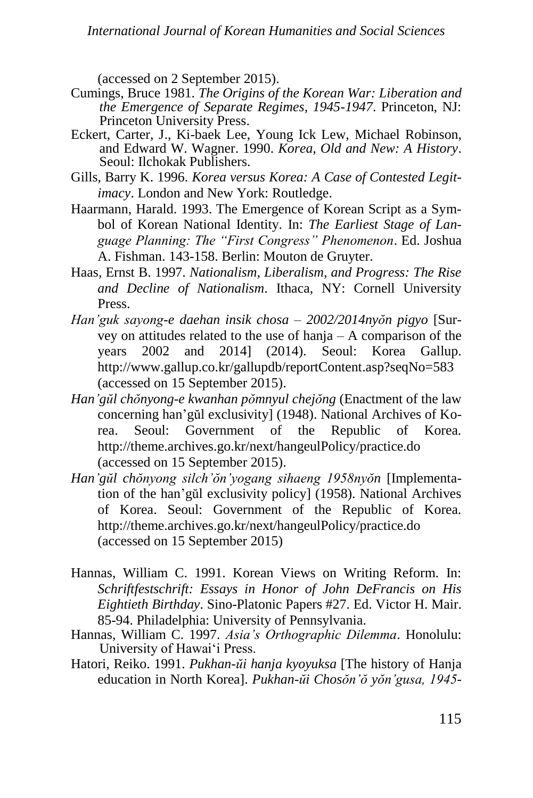(accessed on 2 September 2015).

- Cumings, Bruce 1981. *The Origins of the Korean War: Liberation and the Emergence of Separate Regimes, 1945-1947*. Princeton, NJ: Princeton University Press.
- Eckert, Carter, J., Ki-baek Lee, Young Ick Lew, Michael Robinson, and Edward W. Wagner. 1990. *Korea, Old and New: A History*. Seoul: Ilchokak Publishers.
- Gills, Barry K. 1996. *Korea versus Korea: A Case of Contested Legitimacy*. London and New York: Routledge.
- Haarmann, Harald. 1993. The Emergence of Korean Script as a Symbol of Korean National Identity. In: *The Earliest Stage of Language Planning: The "First Congress" Phenomenon*. Ed. Joshua A. Fishman. 143-158. Berlin: Mouton de Gruyter.
- Haas, Ernst B. 1997. *Nationalism, Liberalism, and Progress: The Rise and Decline of Nationalism*. Ithaca, NY: Cornell University Press.
- *Han'guk sayong-e daehan insik chosa – 2002/2014nyŏn pigyo* [Survey on attitudes related to the use of hanja – A comparison of the years 2002 and 2014] (2014). Seoul: Korea Gallup. [http://www.gallup.co.kr/gallupdb/reportContent.](http://www.gallup.co.kr/gallupdb/reportContent)asp?seqNo=583 (accessed on 15 September 2015).
- *Han'gŭl chŏnyong-e kwanhan pŏmnyul chejŏng* (Enactment of the law concerning han'gŭl exclusivity] (1948). National Archives of Korea. Seoul: Government of the Republic of Korea. <http://theme.archives.go.kr/next/hangeulPolicy/practice.do> (accessed on 15 September 2015).
- *Han'gŭl chŏnyong silch'ŏn'yogang sihaeng 1958nyŏn* [Implementation of the han'gŭl exclusivity policy] (1958). National Archives of Korea. Seoul: Government of the Republic of Korea. <http://theme.archives.go.kr/next/hangeulPolicy/practice.do> (accessed on 15 September 2015)
- Hannas, William C. 1991. Korean Views on Writing Reform. In: *[Schriftfestschrift: Essays in Honor of John DeFrancis on His](http://www.sino-platonic.org/complete/spp027_john_defrancis.pdf)  [Eightieth Birthday](http://www.sino-platonic.org/complete/spp027_john_defrancis.pdf)*. Sino-Platonic Papers #27. Ed. Victor H. [Mair.](http://en.wikipedia.org/wiki/Victor_H._Mair)  85-94. Philadelphia: University of Pennsylvania.
- Hannas, William C. 1997. *Asia's Orthographic Dilemma*. Honolulu: University of Hawai'i Press.
- Hatori, Reiko. 1991. *Pukhan-ŭi hanja kyoyuksa* [The history of Hanja education in North Korea]. *Pukhan-ŭi Chosŏn'ŏ yŏn'gusa, 1945-*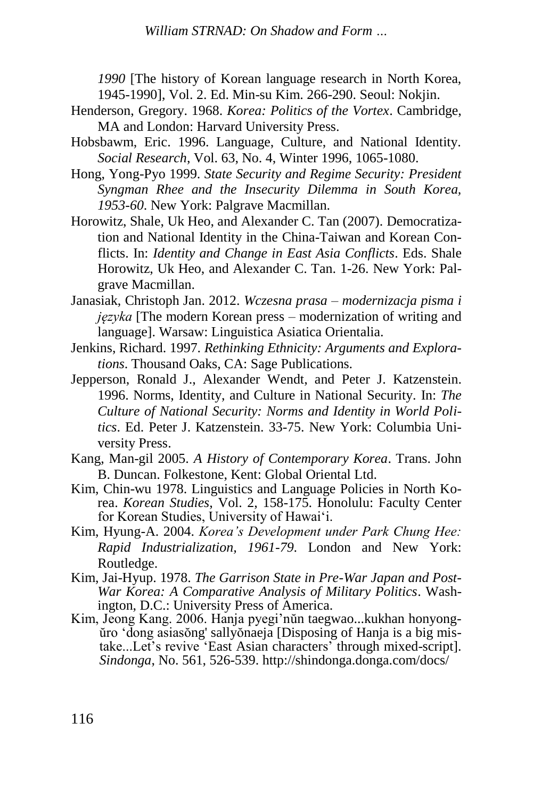*William STRNAD: On Shadow and Form …*

*1990* [The history of Korean language research in North Korea, 1945-1990], Vol. 2. Ed. Min-su Kim. 266-290. Seoul: Nokjin.

- Henderson, Gregory. 1968. *Korea: Politics of the Vortex*. Cambridge, MA and London: Harvard University Press.
- Hobsbawm, Eric. 1996. Language, Culture, and National Identity. *Social Research*, Vol. 63, No. 4, Winter 1996, 1065-1080.
- Hong, Yong-Pyo 1999. *State Security and Regime Security: President Syngman Rhee and the Insecurity Dilemma in South Korea, 1953-60*. New York: Palgrave Macmillan.
- Horowitz, Shale, Uk Heo, and Alexander C. Tan (2007). Democratization and National Identity in the China-Taiwan and Korean Conflicts. In: *Identity and Change in East Asia Conflicts*. Eds. Shale Horowitz, Uk Heo, and Alexander C. Tan. 1-26. New York: Palgrave Macmillan.
- Janasiak, Christoph Jan. 2012. *Wczesna prasa – modernizacja pisma i języka* [The modern Korean press – modernization of writing and language]. Warsaw: Linguistica Asiatica Orientalia.
- Jenkins, Richard. 1997. *Rethinking Ethnicity: Arguments and Explorations*. Thousand Oaks, CA: Sage Publications.
- Jepperson, Ronald J., Alexander Wendt, and Peter J. Katzenstein. 1996. Norms, Identity, and Culture in National Security. In: *The Culture of National Security: Norms and Identity in World Politics*. Ed. Peter J. Katzenstein. 33-75. New York: Columbia University Press.
- Kang, Man-gil 2005. *A History of Contemporary Korea*. Trans. John B. Duncan. Folkestone, Kent: Global Oriental Ltd.
- Kim, Chin-wu 1978. Linguistics and Language Policies in North Korea. *Korean Studies*, Vol. 2, 158-175. Honolulu: Faculty Center for Korean Studies, University of Hawai'i.
- Kim, Hyung-A. 2004. *Korea's Development under Park Chung Hee: Rapid Industrialization, 1961-79*. London and New York: Routledge.
- Kim, Jai-Hyup. 1978. *The Garrison State in Pre-War Japan and Post-War Korea: A Comparative Analysis of Military Politics*. Washington, D.C.: University Press of America.
- Kim, Jeong Kang. 2006. Hanja pyegi'nŭn taegwao...kukhan honyongŭro 'dong asiasŏng' sallyŏnaeja [Disposing of Hanja is a big mistake...Let's revive 'East Asian characters' through mixed-script]. *Sindonga*, No. 561, 526-539. [http://shindonga.donga.c](http://shindonga.donga./)om/docs/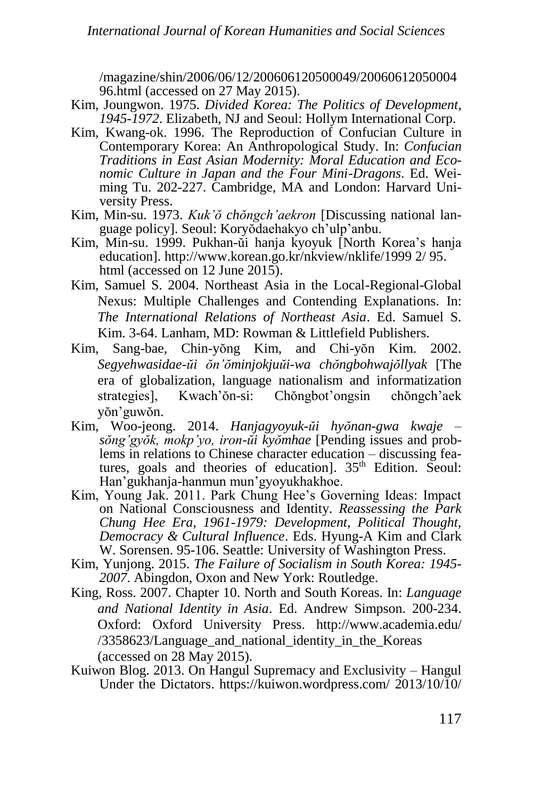/magazine/shin/2006/06/12/200606120500049/20060612050004 96.html (accessed on 27 May 2015).

- Kim, Joungwon. 1975. *Divided Korea: The Politics of Development, 1945-1972*. Elizabeth, NJ and Seoul: Hollym International Corp.
- Kim, Kwang-ok. 1996. The Reproduction of Confucian Culture in Contemporary Korea: An Anthropological Study. In: *Confucian Traditions in East Asian Modernity: Moral Education and Economic Culture in Japan and the Four Mini-Dragons*. Ed. Weiming Tu. 202-227. Cambridge, MA and London: Harvard University Press.
- Kim, Min-su. 1973. *Kuk'ŏ chŏngch'aekron* [Discussing national language policy]. Seoul: Koryŏdaehakyo ch'ulp'anbu.
- Kim, Min-su. 1999. Pukhan-ŭi hanja kyoyuk [North Korea's hanja education]. [http://www.korean.go.kr/nkview/nklife/1999 2/ 95.](http://www.korean.go.kr/nkview/nklife/1999%202/%2095) html (accessed on 12 June 2015).
- Kim, Samuel S. 2004. Northeast Asia in the Local-Regional-Global Nexus: Multiple Challenges and Contending Explanations. In: *The International Relations of Northeast Asia*. Ed. Samuel S. Kim. 3-64. Lanham, MD: Rowman & Littlefield Publishers.
- Kim, Sang-bae, Chin-yŏng Kim, and Chi-yŏn Kim. 2002. *Segyehwasidae-ŭi ŏn'ŏminjokjuŭi-wa chŏngbohwajŏllyak* [The era of globalization, language nationalism and informatization strategies], Kwach'ŏn-si: Chŏngbot'ongsin chŏngch'aek yŏn'guwŏn.
- Kim, Woo-jeong. 2014. *Hanjagyoyuk-ŭi hyŏnan-gwa kwaje – sŏng'gyŏk, mokp'yo, iron-ŭi kyŏmhae* [Pending issues and problems in relations to Chinese character education – discussing features, goals and theories of education].  $35<sup>th</sup>$  Edition. Seoul: Han'gukhanja-hanmun mun'gyoyukhakhoe.
- Kim, Young Jak. 2011. Park Chung Hee's Governing Ideas: Impact on National Consciousness and Identity. *Reassessing the Park Chung Hee Era, 1961-1979: Development, Political Thought, Democracy & Cultural Influence*. Eds. Hyung-A Kim and Clark W. Sorensen. 95-106. Seattle: University of Washington Press.
- Kim, Yunjong. 2015. *The Failure of Socialism in South Korea: 1945- 2007*. Abingdon, Oxon and New York: Routledge.
- King, Ross. 2007. Chapter 10. North and South Koreas. In: *Language and National Identity in Asia*. Ed. Andrew Simpson. 200-234. Oxford: Oxford University Press. [http://www.academia.](http://www.academia/)edu/ /3358623/Language\_and\_national\_identity in the Koreas (accessed on 28 May 2015).
- Kuiwon Blog. 2013. On Hangul Supremacy and Exclusivity Hangul Under the Dictators.<https://kuiwon.wordpress.com/> 2013/10/10/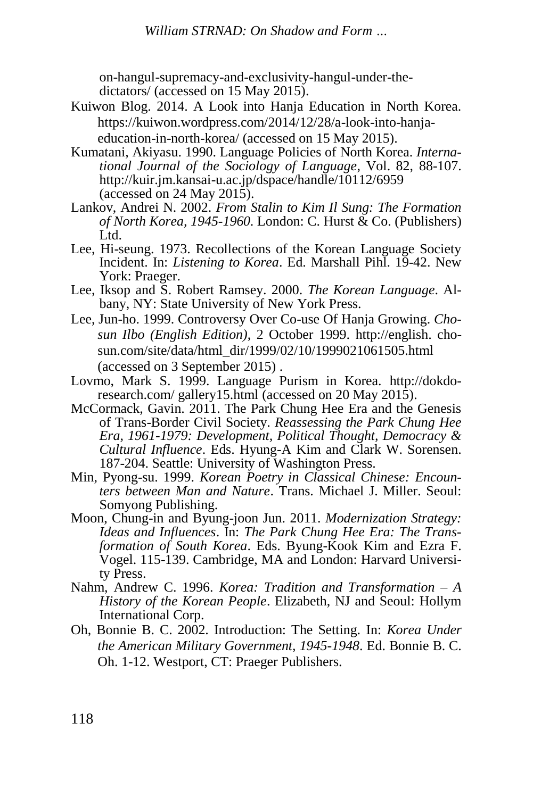on-hangul-supremacy-and-exclusivity-hangul-under-thedictators/ (accessed on 15 May 2015).

- Kuiwon Blog. 2014. A Look into Hanja Education in North Korea. [https://kuiwon.wordpress.com/2014/12/28/a-look-into-hanja](https://kuiwon.wordpress.com/2014/12/28/a-look-into-hanja-education-in-north-korea/)[education-in-north-korea/](https://kuiwon.wordpress.com/2014/12/28/a-look-into-hanja-education-in-north-korea/) (accessed on 15 May 2015).
- Kumatani, Akiyasu. 1990. Language Policies of North Korea. *International Journal of the Sociology of Language*, Vol. 82, 88-107. <http://kuir.jm.kansai-u.ac.jp/dspace/handle/10112/6959> (accessed on 24 May 2015).
- Lankov, Andrei N. 2002. *From Stalin to Kim Il Sung: The Formation of North Korea, 1945-1960*. London: C. Hurst & Co. (Publishers) Ltd.
- Lee, Hi-seung. 1973. Recollections of the Korean Language Society Incident. In: *Listening to Korea*. Ed. Marshall Pihl. 19-42. New York: Praeger.
- Lee, Iksop and S. Robert Ramsey. 2000. *The Korean Language*. Albany, NY: State University of New York Press.
- Lee, Jun-ho. 1999. Controversy Over Co-use Of Hanja Growing. *Chosun Ilbo (English Edition)*, 2 October 1999. [http://english.](http://english/) chosun.com/site/data/html\_dir/1999/02/10/1999021061505.html (accessed on 3 September 2015) .
- Lovmo, Mark S. 1999. Language Purism in Korea. [http://dokdo](http://dokdo-research.com/%20gallery15.html)[research.com/ gallery15.html](http://dokdo-research.com/%20gallery15.html) (accessed on 20 May 2015).
- McCormack, Gavin. 2011. The Park Chung Hee Era and the Genesis of Trans-Border Civil Society. *Reassessing the Park Chung Hee Era, 1961-1979: Development, Political Thought, Democracy & Cultural Influence*. Eds. Hyung-A Kim and Clark W. Sorensen. 187-204. Seattle: University of Washington Press.
- Min, Pyong-su. 1999. *Korean Poetry in Classical Chinese: Encounters between Man and Nature*. Trans. Michael J. Miller. Seoul: Somyong Publishing.
- Moon, Chung-in and Byung-joon Jun. 2011. *Modernization Strategy: Ideas and Influences*. In: *The Park Chung Hee Era: The Transformation of South Korea*. Eds. Byung-Kook Kim and Ezra F. Vogel. 115-139. Cambridge, MA and London: Harvard University Press.
- Nahm, Andrew C. 1996. *Korea: Tradition and Transformation – A History of the Korean People*. Elizabeth, NJ and Seoul: Hollym International Corp.
- Oh, Bonnie B. C. 2002. Introduction: The Setting. In: *Korea Under the American Military Government, 1945-1948*. Ed. Bonnie B. C. Oh. 1-12. Westport, CT: Praeger Publishers.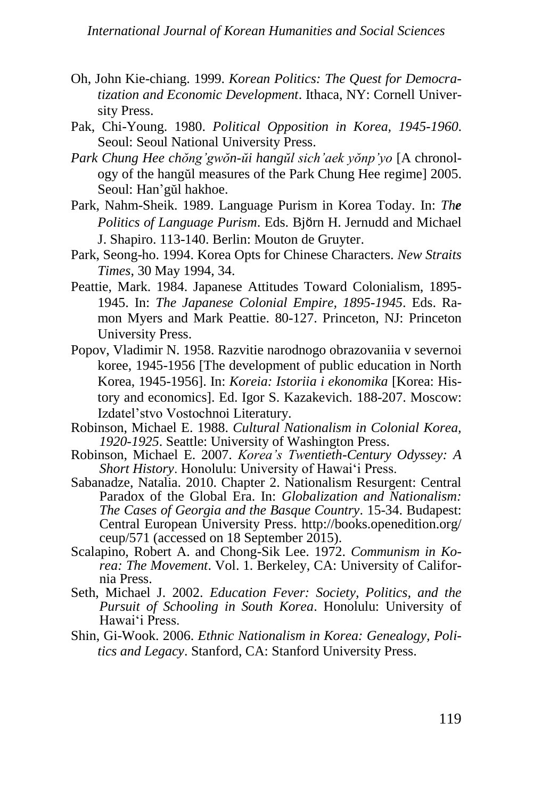- Oh, John Kie-chiang. 1999. *Korean Politics: The Quest for Democratization and Economic Development*. Ithaca, NY: Cornell University Press.
- Pak, Chi-Young. 1980. *Political Opposition in Korea, 1945-1960*. Seoul: Seoul National University Press.
- *Park Chung Hee chŏng'gwŏn-ŭi hangŭl sich'aek yŏnp'yo* [A chronology of the hangŭl measures of the Park Chung Hee regime] 2005. Seoul: Han'gŭl hakhoe.
- Park, Nahm-Sheik. 1989. Language Purism in Korea Today. In: *The Politics of Language Purism*. Eds. Bjӧrn H. Jernudd and Michael J. Shapiro. 113-140. Berlin: Mouton de Gruyter.
- Park, Seong-ho. 1994. Korea Opts for Chinese Characters. *New Straits Times*, 30 May 1994, 34.
- Peattie, Mark. 1984. Japanese Attitudes Toward Colonialism, 1895- 1945. In: *The Japanese Colonial Empire, 1895-1945*. Eds. Ramon Myers and Mark Peattie. 80-127. Princeton, NJ: Princeton University Press.
- Popov, Vladimir N. 1958. Razvitie narodnogo obrazovaniia v severnoi koree, 1945-1956 [The development of public education in North Korea, 1945-1956]. In: *Koreia: Istoriia i ekonomika* [Korea: History and economics]. Ed. Igor S. Kazakevich. 188-207. Moscow: Izdatel'stvo Vostochnoi Literatury.
- Robinson, Michael E. 1988. *Cultural Nationalism in Colonial Korea, 1920-1925*. Seattle: University of Washington Press.
- Robinson, Michael E. 2007. *Korea's Twentieth-Century Odyssey: A Short History*. Honolulu: University of Hawai'i Press.
- Sabanadze, Natalia. 2010. Chapter 2. Nationalism Resurgent: Central Paradox of the Global Era. In: *Globalization and Nationalism: The Cases of Georgia and the Basque Country*. 15-34. Budapest: Central European University Press. [http://books.openedition.org/](http://books.openedition.org/%20ceup/)  [ceup/5](http://books.openedition.org/%20ceup/)71 (accessed on 18 September 2015).
- Scalapino, Robert A. and Chong-Sik Lee. 1972. *Communism in Korea: The Movement*. Vol. 1. Berkeley, CA: University of California Press.
- Seth, Michael J. 2002. *Education Fever: Society, Politics, and the Pursuit of Schooling in South Korea*. Honolulu: University of Hawai'i Press.
- Shin, Gi-Wook. 2006. *Ethnic Nationalism in Korea: Genealogy, Politics and Legacy*. Stanford, CA: Stanford University Press.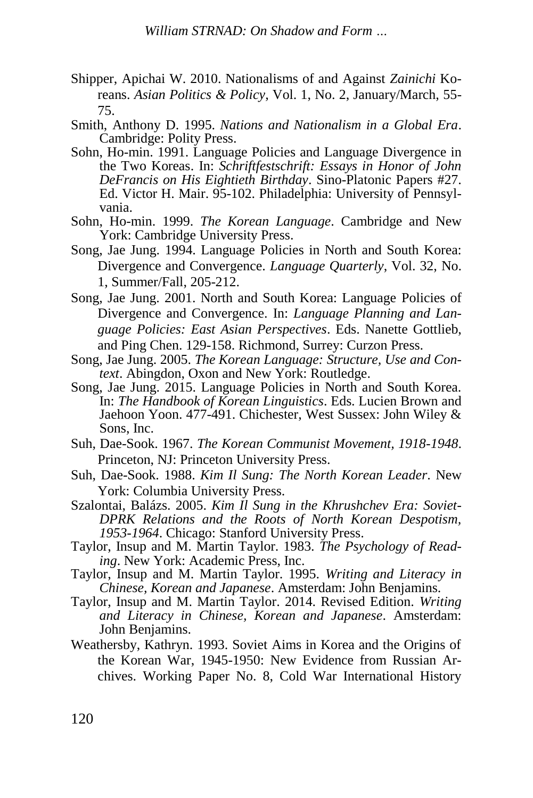- Shipper, Apichai W. 2010. Nationalisms of and Against *Zainichi* Koreans. *Asian Politics & Policy*, Vol. 1, No. 2, January/March, 55- 75.
- Smith, Anthony D. 1995. *Nations and Nationalism in a Global Era*. Cambridge: Polity Press.
- Sohn, Ho-min. 1991. Language Policies and Language Divergence in the Two Koreas. In: *[Schriftfestschrift: Essays in Honor of John](http://www.sino-platonic.org/complete/spp027_john_defrancis.pdf)  [DeFrancis on His Eightieth Birthday](http://www.sino-platonic.org/complete/spp027_john_defrancis.pdf)*. Sino-Platonic Papers #27. Ed. Victor H. [Mair. 9](http://en.wikipedia.org/wiki/Victor_H._Mair)5-102. Philadelphia: University of Pennsylvania.
- Sohn, Ho-min. 1999. *The Korean Language*. Cambridge and New York: Cambridge University Press.
- Song, Jae Jung. 1994. Language Policies in North and South Korea: Divergence and Convergence. *Language Quarterly*, Vol. 32, No. 1, Summer/Fall, 205-212.
- Song, Jae Jung. 2001. North and South Korea: Language Policies of Divergence and Convergence. In: *Language Planning and Language Policies: East Asian Perspectives*. Eds. Nanette Gottlieb, and Ping Chen. 129-158. Richmond, Surrey: Curzon Press.
- Song, Jae Jung. 2005. *The Korean Language: Structure, Use and Context*. Abingdon, Oxon and New York: Routledge.
- Song, Jae Jung. 2015. Language Policies in North and South Korea. In: *The Handbook of Korean Linguistics*. Eds. Lucien Brown and Jaehoon Yoon. 477-491. Chichester, West Sussex: John Wiley & Sons, Inc.
- Suh, Dae-Sook. 1967. *The Korean Communist Movement, 1918-1948*. Princeton, NJ: Princeton University Press.
- Suh, Dae-Sook. 1988. *Kim Il Sung: The North Korean Leader*. New York: Columbia University Press.
- Szalontai, Balázs. 2005. *Kim Il Sung in the Khrushchev Era: Soviet-DPRK Relations and the Roots of North Korean Despotism, 1953-1964*. Chicago: Stanford University Press.
- Taylor, Insup and M. Martin Taylor. 1983. *The Psychology of Reading*. New York: Academic Press, Inc.
- Taylor, Insup and M. Martin Taylor. 1995. *Writing and Literacy in Chinese, Korean and Japanese*. Amsterdam: John Benjamins.
- Taylor, Insup and M. Martin Taylor. 2014. Revised Edition. *Writing and Literacy in Chinese, Korean and Japanese*. Amsterdam: John Benjamins.
- Weathersby, Kathryn. 1993. Soviet Aims in Korea and the Origins of the Korean War, 1945-1950: New Evidence from Russian Archives. Working Paper No. 8, Cold War International History